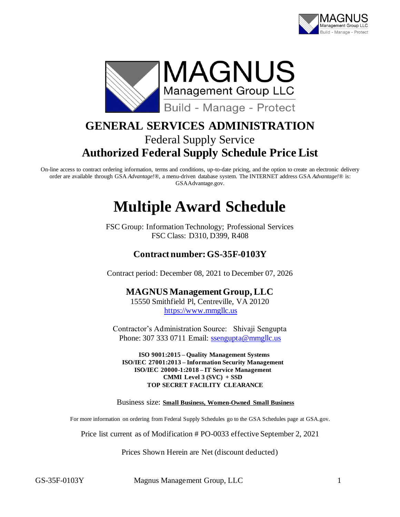



# **GENERAL SERVICES ADMINISTRATION** Federal Supply Service **Authorized Federal Supply Schedule Price List**

On-line access to contract ordering information, terms and conditions, up-to-date pricing, and the option to create an electronic delivery order are available through GSA *Advantage!*®, a menu-driven database system. The INTERNET address GSA *Advantage!*® is: GSAAdvantage.gov.

# **Multiple Award Schedule**

FSC Group: Information Technology; Professional Services FSC Class: D310, D399, R408

## **Contract number: GS-35F-0103Y**

Contract period: December 08, 2021 to December 07, 2026

### **MAGNUS Management Group, LLC**

15550 Smithfield Pl, Centreville, VA 20120 [https://www.mmgllc.us](https://www.mmgllc.us/)

Contractor's Administration Source: Shivaji Sengupta Phone: 307 333 0711 Email: [ssengupta@mmgllc.us](mailto:ssengupta@mmgllc.us)

**ISO 9001:2015 – Quality Management Systems ISO/IEC 27001:2013 – Information Security Management ISO/IEC 20000-1:2018 – IT Service Management CMMI Level 3 (SVC) + SSD TOP SECRET FACILITY CLEARANCE**

Business size: **Small Business, Women-Owned Small Business**

For more information on ordering from Federal Supply Schedules go to the GSA Schedules page at GSA.gov.

Price list current as of Modification # PO-0033 effective September 2, 2021

Prices Shown Herein are Net (discount deducted)

GS-35F-0103Y Magnus Management Group, LLC 1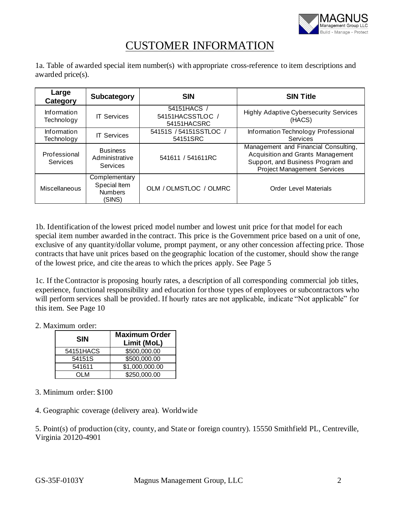

## CUSTOMER INFORMATION

1a. Table of awarded special item number(s) with appropriate cross-reference to item descriptions and awarded price(s).

| Large<br>Category         | Subcategory                                               | <b>SIN</b>                                   | <b>SIN Title</b>                                                                                                                                            |
|---------------------------|-----------------------------------------------------------|----------------------------------------------|-------------------------------------------------------------------------------------------------------------------------------------------------------------|
| Information<br>Technology | <b>IT Services</b>                                        | 54151HACS<br>54151HACSSTLOC /<br>54151HACSRC | <b>Highly Adaptive Cybersecurity Services</b><br>(HACS)                                                                                                     |
| Information<br>Technology | <b>IT Services</b>                                        | 54151S / 54151SSTLOC /<br>54151SRC           | Information Technology Professional<br>Services                                                                                                             |
| Professional<br>Services  | <b>Business</b><br>Administrative<br>Services             | 541611 / 541611RC                            | Management and Financial Consulting,<br><b>Acquisition and Grants Management</b><br>Support, and Business Program and<br><b>Project Management Services</b> |
| Miscellaneous             | Complementary<br>Special Item<br><b>Numbers</b><br>(SINS) | OLM / OLMSTLOC / OLMRC                       | <b>Order Level Materials</b>                                                                                                                                |

1b. Identification of the lowest priced model number and lowest unit price for that model for each special item number awarded in the contract. This price is the Government price based on a unit of one, exclusive of any quantity/dollar volume, prompt payment, or any other concession affecting price. Those contracts that have unit prices based on the geographic location of the customer, should show the range of the lowest price, and cite the areas to which the prices apply. See Page 5

1c. If the Contractor is proposing hourly rates, a description of all corresponding commercial job titles, experience, functional responsibility and education for those types of employees or subcontractors who will perform services shall be provided. If hourly rates are not applicable, indicate "Not applicable" for this item. See Page 10

2. Maximum order:

| <b>SIN</b> | <b>Maximum Order</b><br>Limit (MoL) |
|------------|-------------------------------------|
| 54151HACS  | \$500,000.00                        |
| 54151S     | \$500,000.00                        |
| 541611     | \$1,000,000.00                      |
| N IO       | \$250,000.00                        |

- 3. Minimum order: \$100
- 4. Geographic coverage (delivery area). Worldwide

5. Point(s) of production (city, county, and State or foreign country). 15550 Smithfield PL, Centreville, Virginia 20120-4901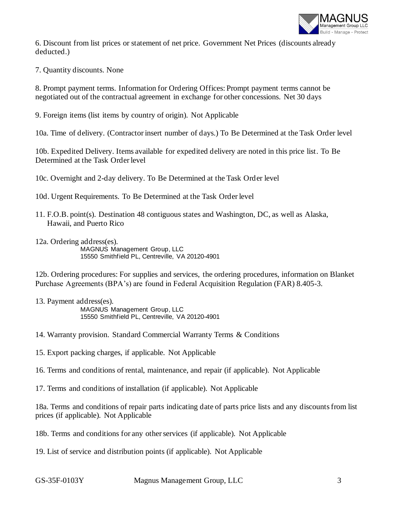

6. Discount from list prices or statement of net price. Government Net Prices (discounts already deducted.)

7. Quantity discounts. None

8. Prompt payment terms. Information for Ordering Offices: Prompt payment terms cannot be negotiated out of the contractual agreement in exchange for other concessions. Net 30 days

9. Foreign items (list items by country of origin). Not Applicable

10a. Time of delivery. (Contractor insert number of days.) To Be Determined at the Task Order level

10b. Expedited Delivery. Items available for expedited delivery are noted in this price list. To Be Determined at the Task Order level

10c. Overnight and 2-day delivery. To Be Determined at the Task Order level

- 10d. Urgent Requirements. To Be Determined at the Task Order level
- 11. F.O.B. point(s). Destination 48 contiguous states and Washington, DC, as well as Alaska, Hawaii, and Puerto Rico
- 12a. Ordering address(es). MAGNUS Management Group, LLC 15550 Smithfield PL, Centreville, VA 20120-4901

12b. Ordering procedures: For supplies and services, the ordering procedures, information on Blanket Purchase Agreements (BPA's) are found in Federal Acquisition Regulation (FAR) 8.405-3.

- 13. Payment address(es). MAGNUS Management Group, LLC 15550 Smithfield PL, Centreville, VA 20120-4901
- 14. Warranty provision. Standard Commercial Warranty Terms & Conditions
- 15. Export packing charges, if applicable. Not Applicable
- 16. Terms and conditions of rental, maintenance, and repair (if applicable). Not Applicable
- 17. Terms and conditions of installation (if applicable). Not Applicable

18a. Terms and conditions of repair parts indicating date of parts price lists and any discounts from list prices (if applicable). Not Applicable

18b. Terms and conditions for any other services (if applicable). Not Applicable

19. List of service and distribution points (if applicable). Not Applicable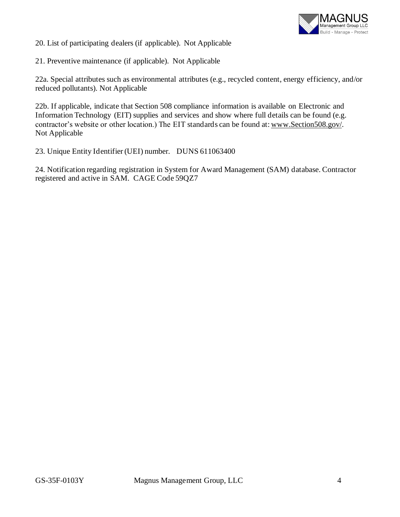

20. List of participating dealers (if applicable). Not Applicable

21. Preventive maintenance (if applicable). Not Applicable

22a. Special attributes such as environmental attributes (e.g., recycled content, energy efficiency, and/or reduced pollutants). Not Applicable

22b. If applicable, indicate that Section 508 compliance information is available on Electronic and Information Technology (EIT) supplies and services and show where full details can be found (e.g. contractor's website or other location.) The EIT standards can be found at[: www.Section508.gov/.](http://www.section508.gov/) Not Applicable

23. Unique Entity Identifier (UEI) number. DUNS 611063400

24. Notification regarding registration in System for Award Management (SAM) database. Contractor registered and active in SAM. CAGE Code 59QZ7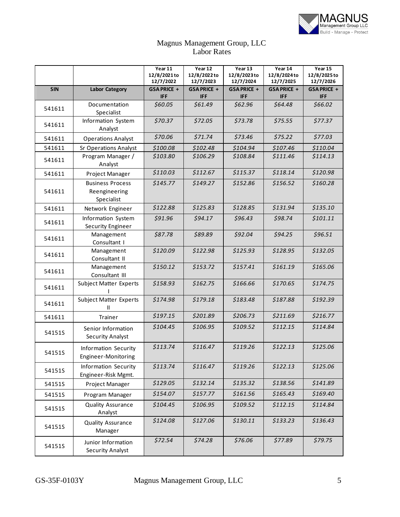

#### Magnus Management Group, LLC Labor Rates

|            |                                                        | Year 11<br>12/8/2021 to<br>12/7/2022 | Year 12<br>12/8/2022to<br>12/7/2023 | Year 13<br>12/8/2023to<br>12/7/2024 | Year 14<br>12/8/2024to<br>12/7/2025 | Year 15<br>12/8/2025 to<br>12/7/2026 |
|------------|--------------------------------------------------------|--------------------------------------|-------------------------------------|-------------------------------------|-------------------------------------|--------------------------------------|
| <b>SIN</b> | <b>Labor Category</b>                                  | GSA PRICE +<br><b>IFF</b>            | <b>GSA PRICE +</b><br><b>IFF</b>    | GSA PRICE +<br><b>IFF</b>           | <b>GSAPRICE +</b><br><b>IFF</b>     | <b>GSAPRICE +</b><br><b>IFF</b>      |
| 541611     | Documentation<br>Specialist                            | \$60.05                              | \$61.49                             | \$62.96                             | \$64.48                             | \$66.02                              |
| 541611     | Information System<br>Analyst                          | \$70.37                              | \$72.05                             | \$73.78                             | \$75.55                             | \$77.37                              |
| 541611     | <b>Operations Analyst</b>                              | \$70.06                              | \$71.74                             | \$73.46                             | \$75.22                             | \$77.03                              |
| 541611     | <b>Sr Operations Analyst</b>                           | \$100.08                             | \$102.48                            | \$104.94                            | \$107.46                            | \$110.04                             |
| 541611     | Program Manager /<br>Analyst                           | \$103.80                             | \$106.29                            | \$108.84                            | \$111.46                            | \$114.13                             |
| 541611     | Project Manager                                        | \$110.03                             | \$112.67                            | \$115.37                            | \$118.14                            | \$120.98                             |
| 541611     | <b>Business Process</b><br>Reengineering<br>Specialist | \$145.77                             | \$149.27                            | \$152.86                            | \$156.52                            | \$160.28                             |
| 541611     | Network Engineer                                       | \$122.88                             | \$125.83                            | \$128.85                            | \$131.94                            | \$135.10                             |
| 541611     | Information System<br><b>Security Engineer</b>         | \$91.96                              | \$94.17                             | \$96.43                             | \$98.74                             | \$101.11                             |
| 541611     | Management<br>Consultant I                             | \$87.78                              | \$89.89                             | \$92.04                             | \$94.25                             | \$96.51                              |
| 541611     | Management<br>Consultant II                            | \$120.09                             | \$122.98                            | \$125.93                            | \$128.95                            | \$132.05                             |
| 541611     | Management<br>Consultant III                           | \$150.12                             | \$153.72                            | \$157.41                            | \$161.19                            | \$165.06                             |
| 541611     | <b>Subject Matter Experts</b>                          | \$158.93                             | \$162.75                            | \$166.66                            | \$170.65                            | \$174.75                             |
| 541611     | <b>Subject Matter Experts</b><br>Ш                     | \$174.98                             | \$179.18                            | \$183.48                            | \$187.88                            | \$192.39                             |
| 541611     | <b>Trainer</b>                                         | \$197.15                             | \$201.89                            | \$206.73                            | \$211.69                            | \$216.77                             |
| 54151S     | Senior Information<br><b>Security Analyst</b>          | \$104.45                             | \$106.95                            | \$109.52                            | \$112.15                            | \$114.84                             |
| 54151S     | Information Security<br>Engineer-Monitoring            | \$113.74                             | \$116.47                            | \$119.26                            | \$122.13                            | \$125.06                             |
| 54151S     | Information Security<br>Engineer-Risk Mgmt.            | \$113.74                             | \$116.47                            | \$119.26                            | \$122.13                            | \$125.06                             |
| 54151S     | Project Manager                                        | \$129.05                             | \$132.14                            | \$135.32                            | \$138.56                            | \$141.89                             |
| 54151S     | Program Manager                                        | \$154.07                             | \$157.77                            | \$161.56                            | \$165.43                            | \$169.40                             |
| 54151S     | <b>Quality Assurance</b><br>Analyst                    | \$104.45                             | \$106.95                            | \$109.52                            | \$112.15                            | \$114.84                             |
| 54151S     | <b>Quality Assurance</b><br>Manager                    | \$124.08                             | \$127.06                            | \$130.11                            | \$133.23                            | \$136.43                             |
| 54151S     | Junior Information<br><b>Security Analyst</b>          | \$72.54                              | \$74.28                             | \$76.06                             | \$77.89                             | \$79.75                              |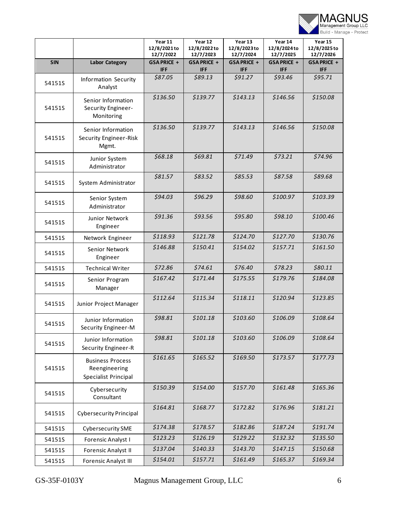

|            |                                                                  | Year 11<br>12/8/2021 to<br>12/7/2022 | Year 12<br>12/8/2022to<br>12/7/2023 | Year 13<br>12/8/2023to<br>12/7/2024 | Year 14<br>12/8/2024to<br>12/7/2025 | Year 15<br>12/8/2025 to<br>12/7/2026 |
|------------|------------------------------------------------------------------|--------------------------------------|-------------------------------------|-------------------------------------|-------------------------------------|--------------------------------------|
| <b>SIN</b> | <b>Labor Category</b>                                            | GSA PRICE +<br><b>IFF</b>            | GSA PRICE +<br><b>IFF</b>           | <b>GSAPRICE +</b><br><b>IFF</b>     | GSA PRICE +<br><b>IFF</b>           | GSA PRICE +<br><b>IFF</b>            |
| 54151S     | <b>Information Security</b><br>Analyst                           | \$87.05                              | \$89.13                             | \$91.27                             | \$93.46                             | \$95.71                              |
| 54151S     | Senior Information<br>Security Engineer-<br>Monitoring           | \$136.50                             | \$139.77                            | \$143.13                            | \$146.56                            | \$150.08                             |
| 54151S     | Senior Information<br><b>Security Engineer-Risk</b><br>Mgmt.     | \$136.50                             | \$139.77                            | \$143.13                            | \$146.56                            | \$150.08                             |
| 54151S     | Junior System<br>Administrator                                   | \$68.18                              | \$69.81                             | \$71.49                             | \$73.21                             | \$74.96                              |
| 54151S     | System Administrator                                             | \$81.57                              | \$83.52                             | \$85.53                             | \$87.58                             | \$89.68                              |
| 54151S     | Senior System<br>Administrator                                   | \$94.03                              | \$96.29                             | \$98.60                             | \$100.97                            | \$103.39                             |
| 54151S     | Junior Network<br>Engineer                                       | \$91.36                              | \$93.56                             | \$95.80                             | \$98.10                             | \$100.46                             |
| 54151S     | Network Engineer                                                 | \$118.93                             | \$121.78                            | \$124.70                            | \$127.70                            | \$130.76                             |
| 54151S     | Senior Network<br>Engineer                                       | \$146.88                             | \$150.41                            | \$154.02                            | \$157.71                            | \$161.50                             |
| 54151S     | <b>Technical Writer</b>                                          | \$72.86                              | \$74.61                             | \$76.40                             | \$78.23                             | \$80.11                              |
| 54151S     | Senior Program<br>Manager                                        | \$167.42                             | \$171.44                            | \$175.55                            | \$179.76                            | \$184.08                             |
| 54151S     | Junior Project Manager                                           | \$112.64                             | \$115.34                            | \$118.11                            | \$120.94                            | \$123.85                             |
| 54151S     | Junior Information<br>Security Engineer-M                        | \$98.81                              | \$101.18                            | \$103.60                            | \$106.09                            | \$108.64                             |
| 54151S     | Junior Information<br>Security Engineer-R                        | \$98.81                              | \$101.18                            | \$103.60                            | \$106.09                            | \$108.64                             |
| 54151S     | <b>Business Process</b><br>Reengineering<br>Specialist Principal | \$161.65                             | \$165.52                            | \$169.50                            | \$173.57                            | \$177.73                             |
| 54151S     | Cybersecurity<br>Consultant                                      | \$150.39                             | \$154.00                            | \$157.70                            | \$161.48                            | \$165.36                             |
| 54151S     | <b>Cybersecurity Principal</b>                                   | \$164.81                             | \$168.77                            | \$172.82                            | \$176.96                            | \$181.21                             |
| 54151S     | <b>Cybersecurity SME</b>                                         | \$174.38                             | \$178.57                            | \$182.86                            | \$187.24                            | \$191.74                             |
| 54151S     | Forensic Analyst I                                               | \$123.23                             | \$126.19                            | \$129.22                            | \$132.32                            | \$135.50                             |
| 54151S     | Forensic Analyst II                                              | \$137.04                             | \$140.33                            | \$143.70                            | \$147.15                            | \$150.68                             |
| 54151S     | Forensic Analyst III                                             | \$154.01                             | \$157.71                            | \$161.49                            | \$165.37                            | \$169.34                             |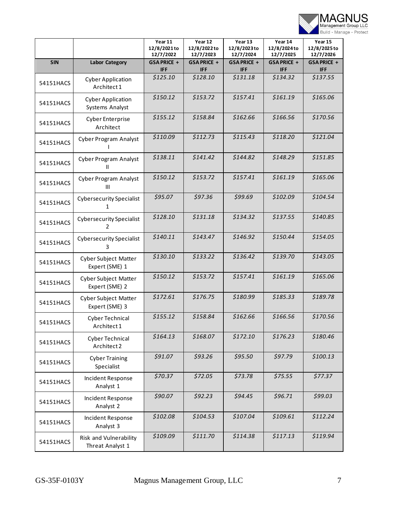

|            |                                               | Year 11<br>12/8/2021 to<br>12/7/2022 | Year 12<br>12/8/2022to<br>12/7/2023 | Year 13<br>12/8/2023to<br>12/7/2024 | Year 14<br>12/8/2024to<br>12/7/2025 | Year 15<br>12/8/2025 to<br>12/7/2026 |
|------------|-----------------------------------------------|--------------------------------------|-------------------------------------|-------------------------------------|-------------------------------------|--------------------------------------|
| <b>SIN</b> | <b>Labor Category</b>                         | GSA PRICE +<br>IFF                   | GSA PRICE +<br><b>IFF</b>           | GSA PRICE +<br><b>IFF</b>           | GSA PRICE +<br><b>IFF</b>           | GSA PRICE +<br><b>IFF</b>            |
| 54151HACS  | <b>Cyber Application</b><br>Architect 1       | \$125.10                             | \$128.10                            | \$131.18                            | \$134.32                            | \$137.55                             |
| 54151HACS  | <b>Cyber Application</b><br>Systems Analyst   | \$150.12                             | \$153.72                            | \$157.41                            | \$161.19                            | \$165.06                             |
| 54151HACS  | <b>Cyber Enterprise</b><br>Architect          | \$155.12                             | \$158.84                            | \$162.66                            | \$166.56                            | \$170.56                             |
| 54151HACS  | <b>Cyber Program Analyst</b>                  | \$110.09                             | \$112.73                            | \$115.43                            | \$118.20                            | \$121.04                             |
| 54151HACS  | <b>Cyber Program Analyst</b><br>Ш             | \$138.11                             | \$141.42                            | \$144.82                            | \$148.29                            | \$151.85                             |
| 54151HACS  | <b>Cyber Program Analyst</b><br>III           | \$150.12                             | \$153.72                            | \$157.41                            | \$161.19                            | \$165.06                             |
| 54151HACS  | <b>Cybersecurity Specialist</b><br>1          | \$95.07                              | \$97.36                             | \$99.69                             | \$102.09                            | \$104.54                             |
| 54151HACS  | <b>Cybersecurity Specialist</b><br>2          | \$128.10                             | \$131.18                            | \$134.32                            | \$137.55                            | \$140.85                             |
| 54151HACS  | <b>Cybersecurity Specialist</b><br>3          | \$140.11                             | \$143.47                            | \$146.92                            | \$150.44                            | \$154.05                             |
| 54151HACS  | <b>Cyber Subject Matter</b><br>Expert (SME) 1 | \$130.10                             | \$133.22                            | \$136.42                            | \$139.70                            | \$143.05                             |
| 54151HACS  | <b>Cyber Subject Matter</b><br>Expert (SME) 2 | \$150.12                             | \$153.72                            | \$157.41                            | \$161.19                            | \$165.06                             |
| 54151HACS  | Cyber Subject Matter<br>Expert (SME) 3        | \$172.61                             | \$176.75                            | \$180.99                            | \$185.33                            | \$189.78                             |
| 54151HACS  | <b>Cyber Technical</b><br>Architect 1         | \$155.12                             | \$158.84                            | \$162.66                            | \$166.56                            | \$170.56                             |
| 54151HACS  | <b>Cyber Technical</b><br>Architect 2         | \$164.13                             | \$168.07                            | \$172.10                            | \$176.23                            | \$180.46                             |
| 54151HACS  | <b>Cyber Training</b><br>Specialist           | \$91.07                              | \$93.26                             | \$95.50                             | \$97.79                             | \$100.13                             |
| 54151HACS  | Incident Response<br>Analyst 1                | \$70.37                              | \$72.05                             | \$73.78                             | \$75.55                             | \$77.37                              |
| 54151HACS  | Incident Response<br>Analyst 2                | \$90.07                              | \$92.23                             | \$94.45                             | \$96.71                             | \$99.03                              |
| 54151HACS  | Incident Response<br>Analyst 3                | \$102.08                             | \$104.53                            | \$107.04                            | \$109.61                            | \$112.24                             |
| 54151HACS  | Risk and Vulnerability<br>Threat Analyst 1    | \$109.09                             | \$111.70                            | \$114.38                            | \$117.13                            | \$119.94                             |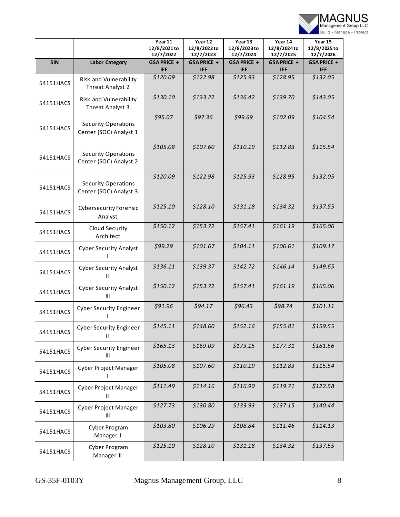

|            |                                                      | Year 11<br>12/8/2021 to<br>12/7/2022 | Year 12<br>12/8/2022to<br>12/7/2023 | Year 13<br>12/8/2023to<br>12/7/2024 | Year 14<br>12/8/2024to<br>12/7/2025 | Year 15<br>12/8/2025 to<br>12/7/2026 |
|------------|------------------------------------------------------|--------------------------------------|-------------------------------------|-------------------------------------|-------------------------------------|--------------------------------------|
| <b>SIN</b> | <b>Labor Category</b>                                | GSA PRICE +<br><b>IFF</b>            | GSA PRICE +<br><b>IFF</b>           | GSA PRICE +<br><b>IFF</b>           | GSA PRICE +<br><b>IFF</b>           | GSA PRICE +<br><b>IFF</b>            |
| 54151HACS  | Risk and Vulnerability<br>Threat Analyst 2           | \$120.09                             | \$122.98                            | \$125.93                            | \$128.95                            | \$132.05                             |
| 54151HACS  | Risk and Vulnerability<br>Threat Analyst 3           | \$130.10                             | \$133.22                            | \$136.42                            | \$139.70                            | \$143.05                             |
| 54151HACS  | <b>Security Operations</b><br>Center (SOC) Analyst 1 | \$95.07                              | \$97.36                             | \$99.69                             | \$102.09                            | \$104.54                             |
| 54151HACS  | <b>Security Operations</b><br>Center (SOC) Analyst 2 | \$105.08                             | \$107.60                            | \$110.19                            | \$112.83                            | \$115.54                             |
| 54151HACS  | <b>Security Operations</b><br>Center (SOC) Analyst 3 | \$120.09                             | \$122.98                            | \$125.93                            | \$128.95                            | \$132.05                             |
| 54151HACS  | <b>Cybersecurity Forensic</b><br>Analyst             | \$125.10                             | \$128.10                            | \$131.18                            | \$134.32                            | \$137.55                             |
| 54151HACS  | Cloud Security<br>Architect                          | \$150.12                             | \$153.72                            | \$157.41                            | \$161.19                            | \$165.06                             |
| 54151HACS  | <b>Cyber Security Analyst</b>                        | \$99.29                              | \$101.67                            | \$104.11                            | \$106.61                            | \$109.17                             |
| 54151HACS  | <b>Cyber Security Analyst</b><br>Ш                   | \$136.11                             | \$139.37                            | \$142.72                            | \$146.14                            | \$149.65                             |
| 54151HACS  | <b>Cyber Security Analyst</b><br>III                 | \$150.12                             | \$153.72                            | \$157.41                            | \$161.19                            | \$165.06                             |
| 54151HACS  | <b>Cyber Security Engineer</b>                       | \$91.96                              | \$94.17                             | \$96.43                             | \$98.74                             | \$101.11                             |
| 54151HACS  | <b>Cyber Security Engineer</b><br>Ш                  | \$145.11                             | \$148.60                            | \$152.16                            | \$155.81                            | \$159.55                             |
| 54151HACS  | <b>Cyber Security Engineer</b><br>$\mathbf{III}$     | \$165.13                             | \$169.09                            | \$173.15                            | \$177.31                            | \$181.56                             |
| 54151HACS  | <b>Cyber Project Manager</b>                         | \$105.08                             | \$107.60                            | \$110.19                            | \$112.83                            | \$115.54                             |
| 54151HACS  | Cyber Project Manager<br>Ш                           | \$111.49                             | \$114.16                            | \$116.90                            | \$119.71                            | \$122.58                             |
| 54151HACS  | <b>Cyber Project Manager</b><br>$\mathbf{III}$       | \$127.73                             | \$130.80                            | \$133.93                            | \$137.15                            | \$140.44                             |
| 54151HACS  | Cyber Program<br>Manager I                           | \$103.80                             | \$106.29                            | \$108.84                            | \$111.46                            | \$114.13                             |
| 54151HACS  | Cyber Program<br>Manager II                          | \$125.10                             | \$128.10                            | \$131.18                            | \$134.32                            | \$137.55                             |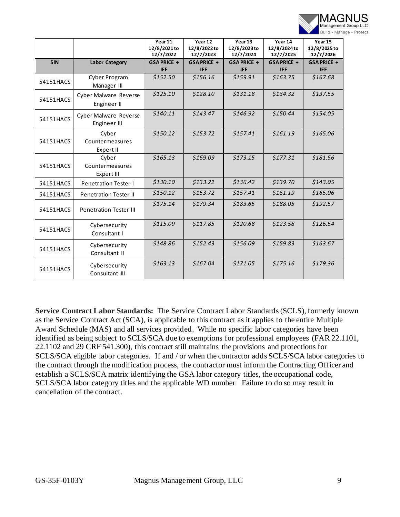

|            |                                              | Year 11<br>12/8/2021 to<br>12/7/2022 | Year 12<br>12/8/2022to<br>12/7/2023 | Year 13<br>12/8/2023to<br>12/7/2024 | Year 14<br>12/8/2024to<br>12/7/2025 | Year 15<br>12/8/2025 to<br>12/7/2026 |
|------------|----------------------------------------------|--------------------------------------|-------------------------------------|-------------------------------------|-------------------------------------|--------------------------------------|
| <b>SIN</b> | <b>Labor Category</b>                        | GSA PRICE +<br><b>IFF</b>            | GSA PRICE +<br><b>IFF</b>           | GSA PRICE +<br><b>IFF</b>           | GSA PRICE +<br><b>IFF</b>           | GSA PRICE +<br><b>IFF</b>            |
| 54151HACS  | Cyber Program<br>Manager III                 | \$152.50                             | \$156.16                            | \$159.91                            | \$163.75                            | \$167.68                             |
| 54151HACS  | <b>Cyber Malware Reverse</b><br>Engineer II  | \$125.10                             | \$128.10                            | \$131.18                            | \$134.32                            | \$137.55                             |
| 54151HACS  | <b>Cyber Malware Reverse</b><br>Engineer III | \$140.11                             | \$143.47                            | \$146.92                            | \$150.44                            | \$154.05                             |
| 54151HACS  | Cyber<br>Countermeasures<br>Expert II        | \$150.12                             | \$153.72                            | \$157.41                            | \$161.19                            | \$165.06                             |
| 54151HACS  | Cyber<br>Countermeasures<br>Expert III       | \$165.13                             | \$169.09                            | \$173.15                            | \$177.31                            | \$181.56                             |
| 54151HACS  | <b>Penetration Tester I</b>                  | \$130.10                             | \$133.22                            | \$136.42                            | \$139.70                            | \$143.05                             |
| 54151HACS  | <b>Penetration Tester II</b>                 | \$150.12                             | \$153.72                            | \$157.41                            | \$161.19                            | \$165.06                             |
| 54151HACS  | <b>Penetration Tester III</b>                | \$175.14                             | \$179.34                            | \$183.65                            | \$188.05                            | \$192.57                             |
| 54151HACS  | Cybersecurity<br>Consultant I                | \$115.09                             | \$117.85                            | \$120.68                            | \$123.58                            | \$126.54                             |
| 54151HACS  | Cybersecurity<br>Consultant II               | \$148.86                             | \$152.43                            | \$156.09                            | \$159.83                            | \$163.67                             |
| 54151HACS  | Cybersecurity<br>Consultant III              | \$163.13                             | \$167.04                            | \$171.05                            | \$175.16                            | \$179.36                             |

**Service Contract Labor Standards:** The Service Contract Labor Standards (SCLS), formerly known as the Service Contract Act (SCA), is applicable to this contract as it applies to the entire Multiple Award Schedule (MAS) and all services provided. While no specific labor categories have been identified as being subject to SCLS/SCA due to exemptions for professional employees (FAR 22.1101, 22.1102 and 29 CRF 541.300), this contract still maintains the provisions and protections for SCLS/SCA eligible labor categories. If and / or when the contractor adds SCLS/SCA labor categories to the contract through the modification process, the contractor must inform the Contracting Officer and establish a SCLS/SCA matrix identifying the GSA labor category titles, the occupational code, SCLS/SCA labor category titles and the applicable WD number. Failure to do so may result in cancellation of the contract.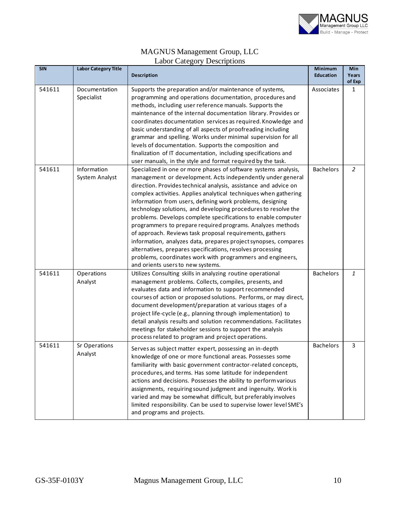

#### MAGNUS Management Group, LLC Labor Category Descriptions

| <b>SIN</b> | <b>Labor Category Title</b>   | <b>Description</b>                                                                                                                                                                                                                                                                                                                                                                                                                                                                                                                                                                                                                                                                                                                                                                                                                   | <b>Minimum</b><br><b>Education</b> | Min<br>Years |
|------------|-------------------------------|--------------------------------------------------------------------------------------------------------------------------------------------------------------------------------------------------------------------------------------------------------------------------------------------------------------------------------------------------------------------------------------------------------------------------------------------------------------------------------------------------------------------------------------------------------------------------------------------------------------------------------------------------------------------------------------------------------------------------------------------------------------------------------------------------------------------------------------|------------------------------------|--------------|
| 541611     | Documentation<br>Specialist   | Supports the preparation and/or maintenance of systems,<br>programming and operations documentation, procedures and<br>methods, including user reference manuals. Supports the<br>maintenance of the internal documentation library. Provides or<br>coordinates documentation services as required. Knowledge and<br>basic understanding of all aspects of proofreading including<br>grammar and spelling. Works under minimal supervision for all<br>levels of documentation. Supports the composition and<br>finalization of IT documentation, including specifications and<br>user manuals, in the style and format required by the task.                                                                                                                                                                                         | Associates                         | of Exp<br>1  |
| 541611     | Information<br>System Analyst | Specialized in one or more phases of software systems analysis,<br>management or development. Acts independently under general<br>direction. Provides technical analysis, assistance and advice on<br>complex activities. Applies analytical techniques when gathering<br>information from users, defining work problems, designing<br>technology solutions, and developing procedures to resolve the<br>problems. Develops complete specifications to enable computer<br>programmers to prepare required programs. Analyzes methods<br>of approach. Reviews task proposal requirements, gathers<br>information, analyzes data, prepares project synopses, compares<br>alternatives, prepares specifications, resolves processing<br>problems, coordinates work with programmers and engineers,<br>and orients users to new systems. | <b>Bachelors</b>                   | 2            |
| 541611     | Operations<br>Analyst         | Utilizes Consulting skills in analyzing routine operational<br>management problems. Collects, compiles, presents, and<br>evaluates data and information to support recommended<br>courses of action or proposed solutions. Performs, or may direct,<br>document development/preparation at various stages of a<br>project life-cycle (e.g., planning through implementation) to<br>detail analysis results and solution recommendations. Facilitates<br>meetings for stakeholder sessions to support the analysis<br>process related to program and project operations.                                                                                                                                                                                                                                                              | <b>Bachelors</b>                   | 1            |
| 541611     | Sr Operations<br>Analyst      | Serves as subject matter expert, possessing an in-depth<br>knowledge of one or more functional areas. Possesses some<br>familiarity with basic government contractor-related concepts,<br>procedures, and terms. Has some latitude for independent<br>actions and decisions. Possesses the ability to perform various<br>assignments, requiring sound judgment and ingenuity. Work is<br>varied and may be somewhat difficult, but preferably involves<br>limited responsibility. Can be used to supervise lower level SME's<br>and programs and projects.                                                                                                                                                                                                                                                                           | <b>Bachelors</b>                   | 3            |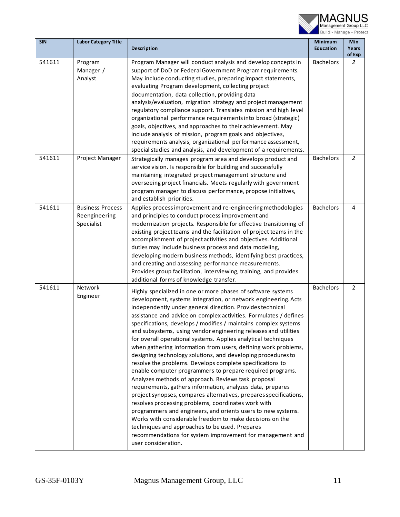

| <b>SIN</b> | <b>Labor Category Title</b>                            | <b>Description</b>                                                                                                                                                                                                                                                                                                                                                                                                                                                                                                                                                                                                                                                                                                                                                                                                                                                                                                                                                                                                                                                                                                                                                                                                                                      | Minimum<br><b>Education</b> | Min<br>Years<br>of Exp |
|------------|--------------------------------------------------------|---------------------------------------------------------------------------------------------------------------------------------------------------------------------------------------------------------------------------------------------------------------------------------------------------------------------------------------------------------------------------------------------------------------------------------------------------------------------------------------------------------------------------------------------------------------------------------------------------------------------------------------------------------------------------------------------------------------------------------------------------------------------------------------------------------------------------------------------------------------------------------------------------------------------------------------------------------------------------------------------------------------------------------------------------------------------------------------------------------------------------------------------------------------------------------------------------------------------------------------------------------|-----------------------------|------------------------|
| 541611     | Program<br>Manager /<br>Analyst                        | Program Manager will conduct analysis and develop concepts in<br>support of DoD or Federal Government Program requirements.<br>May include conducting studies, preparing impact statements,<br>evaluating Program development, collecting project<br>documentation, data collection, providing data<br>analysis/evaluation, migration strategy and project management<br>regulatory compliance support. Translates mission and high level<br>organizational performance requirements into broad (strategic)<br>goals, objectives, and approaches to their achievement. May<br>include analysis of mission, program goals and objectives,<br>requirements analysis, organizational performance assessment,<br>special studies and analysis, and development of a requirements.                                                                                                                                                                                                                                                                                                                                                                                                                                                                           | <b>Bachelors</b>            | $\overline{2}$         |
| 541611     | Project Manager                                        | Strategically manages program area and develops product and<br>service vision. Is responsible for building and successfully<br>maintaining integrated project management structure and<br>overseeing project financials. Meets regularly with government<br>program manager to discuss performance, propose initiatives,<br>and establish priorities.                                                                                                                                                                                                                                                                                                                                                                                                                                                                                                                                                                                                                                                                                                                                                                                                                                                                                                   | <b>Bachelors</b>            | $\overline{2}$         |
| 541611     | <b>Business Process</b><br>Reengineering<br>Specialist | Applies process improvement and re-engineering methodologies<br>and principles to conduct process improvement and<br>modernization projects. Responsible for effective transitioning of<br>existing project teams and the facilitation of project teams in the<br>accomplishment of project activities and objectives. Additional<br>duties may include business process and data modeling,<br>developing modern business methods, identifying best practices,<br>and creating and assessing performance measurements.<br>Provides group facilitation, interviewing, training, and provides<br>additional forms of knowledge transfer.                                                                                                                                                                                                                                                                                                                                                                                                                                                                                                                                                                                                                  | <b>Bachelors</b>            | 4                      |
| 541611     | Network<br>Engineer                                    | Highly specialized in one or more phases of software systems<br>development, systems integration, or network engineering. Acts<br>independently under general direction. Provides technical<br>assistance and advice on complex activities. Formulates / defines<br>specifications, develops / modifies / maintains complex systems<br>and subsystems, using vendor engineering releases and utilities<br>for overall operational systems. Applies analytical techniques<br>when gathering information from users, defining work problems,<br>designing technology solutions, and developing procedures to<br>resolve the problems. Develops complete specifications to<br>enable computer programmers to prepare required programs.<br>Analyzes methods of approach. Reviews task proposal<br>requirements, gathers information, analyzes data, prepares<br>project synopses, compares alternatives, prepares specifications,<br>resolves processing problems, coordinates work with<br>programmers and engineers, and orients users to new systems.<br>Works with considerable freedom to make decisions on the<br>techniques and approaches to be used. Prepares<br>recommendations for system improvement for management and<br>user consideration. | <b>Bachelors</b>            | $\overline{2}$         |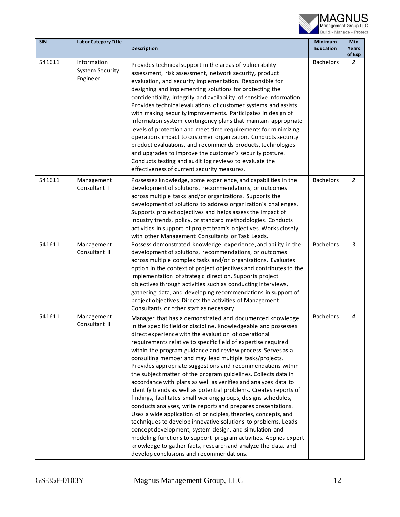

| <b>SIN</b> | <b>Labor Category Title</b>                       | <b>Description</b>                                                                                                                                                                                                                                                                                                                                                                                                                                                                                                                                                                                                                                                                                                                                                                                                                                                                                                                                                                                                                                                                                                                                                      | Minimum<br><b>Education</b> | Min<br>Years             |
|------------|---------------------------------------------------|-------------------------------------------------------------------------------------------------------------------------------------------------------------------------------------------------------------------------------------------------------------------------------------------------------------------------------------------------------------------------------------------------------------------------------------------------------------------------------------------------------------------------------------------------------------------------------------------------------------------------------------------------------------------------------------------------------------------------------------------------------------------------------------------------------------------------------------------------------------------------------------------------------------------------------------------------------------------------------------------------------------------------------------------------------------------------------------------------------------------------------------------------------------------------|-----------------------------|--------------------------|
| 541611     | Information<br><b>System Security</b><br>Engineer | Provides technical support in the areas of vulnerability<br>assessment, risk assessment, network security, product<br>evaluation, and security implementation. Responsible for<br>designing and implementing solutions for protecting the<br>confidentiality, integrity and availability of sensitive information.<br>Provides technical evaluations of customer systems and assists<br>with making security improvements. Participates in design of<br>information system contingency plans that maintain appropriate<br>levels of protection and meet time requirements for minimizing<br>operations impact to customer organization. Conducts security<br>product evaluations, and recommends products, technologies<br>and upgrades to improve the customer's security posture.<br>Conducts testing and audit log reviews to evaluate the<br>effectiveness of current security measures.                                                                                                                                                                                                                                                                            | <b>Bachelors</b>            | of Exp<br>$\overline{2}$ |
| 541611     | Management<br>Consultant I                        | Possesses knowledge, some experience, and capabilities in the<br>development of solutions, recommendations, or outcomes<br>across multiple tasks and/or organizations. Supports the<br>development of solutions to address organization's challenges.<br>Supports project objectives and helps assess the impact of<br>industry trends, policy, or standard methodologies. Conducts<br>activities in support of project team's objectives. Works closely<br>with other Management Consultants or Task Leads.                                                                                                                                                                                                                                                                                                                                                                                                                                                                                                                                                                                                                                                            | <b>Bachelors</b>            | 2                        |
| 541611     | Management<br>Consultant II                       | Possess demonstrated knowledge, experience, and ability in the<br>development of solutions, recommendations, or outcomes<br>across multiple complex tasks and/or organizations. Evaluates<br>option in the context of project objectives and contributes to the<br>implementation of strategic direction. Supports project<br>objectives through activities such as conducting interviews,<br>gathering data, and developing recommendations in support of<br>project objectives. Directs the activities of Management<br>Consultants or other staff as necessary.                                                                                                                                                                                                                                                                                                                                                                                                                                                                                                                                                                                                      | <b>Bachelors</b>            | 3                        |
| 541611     | Management<br>Consultant III                      | Manager that has a demonstrated and documented knowledge<br>in the specific field or discipline. Knowledgeable and possesses<br>direct experience with the evaluation of operational<br>requirements relative to specific field of expertise required<br>within the program guidance and review process. Serves as a<br>consulting member and may lead multiple tasks/projects.<br>Provides appropriate suggestions and recommendations within<br>the subject matter of the program guidelines. Collects data in<br>accordance with plans as well as verifies and analyzes data to<br>identify trends as well as potential problems. Creates reports of<br>findings, facilitates small working groups, designs schedules,<br>conducts analyses, write reports and prepares presentations.<br>Uses a wide application of principles, theories, concepts, and<br>techniques to develop innovative solutions to problems. Leads<br>concept development, system design, and simulation and<br>modeling functions to support program activities. Applies expert<br>knowledge to gather facts, research and analyze the data, and<br>develop conclusions and recommendations. | <b>Bachelors</b>            | 4                        |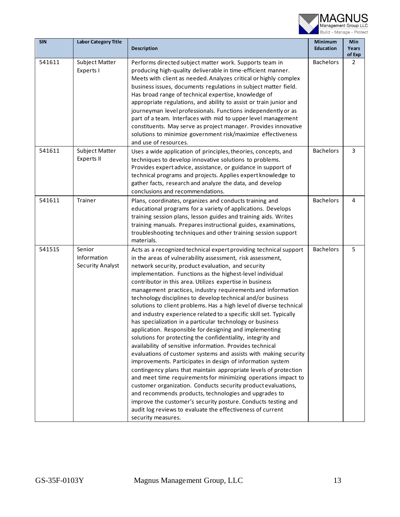

| <b>SIN</b> | <b>Labor Category Title</b>                      | Description                                                                                                                                                                                                                                                                                                                                                                                                                                                                                                                                                                                                                                                                                                                                                                                                                                                                                                                                                                                                                                                                                                                                                                                                                                                                                                                                                                                          | <b>Minimum</b><br><b>Education</b> | Min<br>Years   |
|------------|--------------------------------------------------|------------------------------------------------------------------------------------------------------------------------------------------------------------------------------------------------------------------------------------------------------------------------------------------------------------------------------------------------------------------------------------------------------------------------------------------------------------------------------------------------------------------------------------------------------------------------------------------------------------------------------------------------------------------------------------------------------------------------------------------------------------------------------------------------------------------------------------------------------------------------------------------------------------------------------------------------------------------------------------------------------------------------------------------------------------------------------------------------------------------------------------------------------------------------------------------------------------------------------------------------------------------------------------------------------------------------------------------------------------------------------------------------------|------------------------------------|----------------|
|            |                                                  |                                                                                                                                                                                                                                                                                                                                                                                                                                                                                                                                                                                                                                                                                                                                                                                                                                                                                                                                                                                                                                                                                                                                                                                                                                                                                                                                                                                                      |                                    | of Exp         |
| 541611     | Subject Matter<br>Experts I                      | Performs directed subject matter work. Supports team in<br>producing high-quality deliverable in time-efficient manner.<br>Meets with client as needed. Analyzes critical or highly complex<br>business issues, documents regulations in subject matter field.<br>Has broad range of technical expertise, knowledge of<br>appropriate regulations, and ability to assist or train junior and<br>journeyman level professionals. Functions independently or as<br>part of a team. Interfaces with mid to upper level management<br>constituents. May serve as project manager. Provides innovative<br>solutions to minimize government risk/maximize effectiveness<br>and use of resources.                                                                                                                                                                                                                                                                                                                                                                                                                                                                                                                                                                                                                                                                                                           | <b>Bachelors</b>                   | $\overline{2}$ |
| 541611     | Subject Matter<br><b>Experts II</b>              | Uses a wide application of principles, theories, concepts, and<br>techniques to develop innovative solutions to problems.<br>Provides expert advice, assistance, or guidance in support of<br>technical programs and projects. Applies expert knowledge to<br>gather facts, research and analyze the data, and develop<br>conclusions and recommendations.                                                                                                                                                                                                                                                                                                                                                                                                                                                                                                                                                                                                                                                                                                                                                                                                                                                                                                                                                                                                                                           | <b>Bachelors</b>                   | 3              |
| 541611     | Trainer                                          | Plans, coordinates, organizes and conducts training and<br>educational programs for a variety of applications. Develops<br>training session plans, lesson guides and training aids. Writes<br>training manuals. Prepares instructional guides, examinations,<br>troubleshooting techniques and other training session support<br>materials.                                                                                                                                                                                                                                                                                                                                                                                                                                                                                                                                                                                                                                                                                                                                                                                                                                                                                                                                                                                                                                                          | <b>Bachelors</b>                   | 4              |
| 54151S     | Senior<br>Information<br><b>Security Analyst</b> | Acts as a recognized technical expert providing technical support<br>in the areas of vulnerability assessment, risk assessment,<br>network security, product evaluation, and security<br>implementation. Functions as the highest-level individual<br>contributor in this area. Utilizes expertise in business<br>management practices, industry requirements and information<br>technology disciplines to develop technical and/or business<br>solutions to client problems. Has a high level of diverse technical<br>and industry experience related to a specific skill set. Typically<br>has specialization in a particular technology or business<br>application. Responsible for designing and implementing<br>solutions for protecting the confidentiality, integrity and<br>availability of sensitive information. Provides technical<br>evaluations of customer systems and assists with making security<br>improvements. Participates in design of information system<br>contingency plans that maintain appropriate levels of protection<br>and meet time requirements for minimizing operations impact to<br>customer organization. Conducts security product evaluations,<br>and recommends products, technologies and upgrades to<br>improve the customer's security posture. Conducts testing and<br>audit log reviews to evaluate the effectiveness of current<br>security measures. | <b>Bachelors</b>                   | 5              |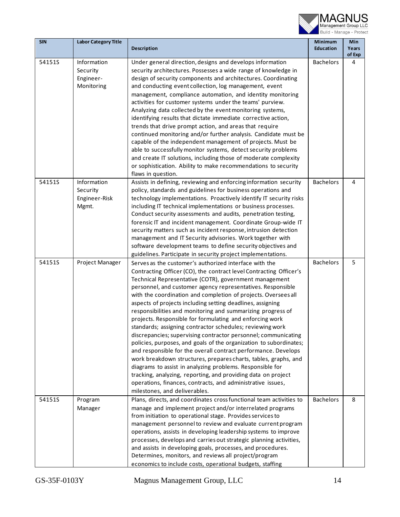

| <b>SIN</b> | <b>Labor Category Title</b> |                                                                                                                                       | <b>Minimum</b>   | Min             |
|------------|-----------------------------|---------------------------------------------------------------------------------------------------------------------------------------|------------------|-----------------|
|            |                             | Description                                                                                                                           | <b>Education</b> | Years<br>of Exp |
| 54151S     | Information                 | Under general direction, designs and develops information                                                                             | <b>Bachelors</b> | 4               |
|            | Security                    | security architectures. Possesses a wide range of knowledge in                                                                        |                  |                 |
|            | Engineer-                   | design of security components and architectures. Coordinating                                                                         |                  |                 |
|            | Monitoring                  | and conducting event collection, log management, event                                                                                |                  |                 |
|            |                             | management, compliance automation, and identity monitoring                                                                            |                  |                 |
|            |                             | activities for customer systems under the teams' purview.                                                                             |                  |                 |
|            |                             | Analyzing data collected by the event monitoring systems,                                                                             |                  |                 |
|            |                             | identifying results that dictate immediate corrective action,                                                                         |                  |                 |
|            |                             | trends that drive prompt action, and areas that require                                                                               |                  |                 |
|            |                             | continued monitoring and/or further analysis. Candidate must be                                                                       |                  |                 |
|            |                             | capable of the independent management of projects. Must be                                                                            |                  |                 |
|            |                             | able to successfully monitor systems, detect security problems                                                                        |                  |                 |
|            |                             | and create IT solutions, including those of moderate complexity                                                                       |                  |                 |
|            |                             | or sophistication. Ability to make recommendations to security<br>flaws in question.                                                  |                  |                 |
| 54151S     | Information                 | Assists in defining, reviewing and enforcing information security                                                                     | <b>Bachelors</b> | 4               |
|            | Security                    | policy, standards and guidelines for business operations and                                                                          |                  |                 |
|            | Engineer-Risk               | technology implementations. Proactively identify IT security risks                                                                    |                  |                 |
|            | Mgmt.                       | including IT technical implementations or business processes.                                                                         |                  |                 |
|            |                             | Conduct security assessments and audits, penetration testing,                                                                         |                  |                 |
|            |                             | forensic IT and incident management. Coordinate Group-wide IT                                                                         |                  |                 |
|            |                             | security matters such as incident response, intrusion detection                                                                       |                  |                 |
|            |                             | management and IT Security advisories. Work together with                                                                             |                  |                 |
|            |                             | software development teams to define security objectives and                                                                          |                  |                 |
|            |                             | guidelines. Participate in security project implementations.                                                                          |                  |                 |
| 54151S     | Project Manager             | Serves as the customer's authorized interface with the                                                                                | <b>Bachelors</b> | 5               |
|            |                             | Contracting Officer (CO), the contract level Contracting Officer's                                                                    |                  |                 |
|            |                             | Technical Representative (COTR), government management                                                                                |                  |                 |
|            |                             | personnel, and customer agency representatives. Responsible                                                                           |                  |                 |
|            |                             | with the coordination and completion of projects. Oversees all                                                                        |                  |                 |
|            |                             | aspects of projects including setting deadlines, assigning                                                                            |                  |                 |
|            |                             | responsibilities and monitoring and summarizing progress of<br>projects. Responsible for formulating and enforcing work               |                  |                 |
|            |                             | standards; assigning contractor schedules; reviewing work                                                                             |                  |                 |
|            |                             | discrepancies; supervising contractor personnel; communicating                                                                        |                  |                 |
|            |                             | policies, purposes, and goals of the organization to subordinates;                                                                    |                  |                 |
|            |                             | and responsible for the overall contract performance. Develops                                                                        |                  |                 |
|            |                             | work breakdown structures, prepares charts, tables, graphs, and                                                                       |                  |                 |
|            |                             | diagrams to assist in analyzing problems. Responsible for                                                                             |                  |                 |
|            |                             | tracking, analyzing, reporting, and providing data on project                                                                         |                  |                 |
|            |                             | operations, finances, contracts, and administrative issues,                                                                           |                  |                 |
|            |                             | milestones, and deliverables.                                                                                                         |                  |                 |
| 54151S     | Program                     | Plans, directs, and coordinates cross functional team activities to                                                                   | <b>Bachelors</b> | 8               |
|            | Manager                     | manage and implement project and/or interrelated programs                                                                             |                  |                 |
|            |                             | from initiation to operational stage. Provides services to                                                                            |                  |                 |
|            |                             | management personnel to review and evaluate current program                                                                           |                  |                 |
|            |                             | operations, assists in developing leadership systems to improve<br>processes, develops and carries out strategic planning activities, |                  |                 |
|            |                             | and assists in developing goals, processes, and procedures.                                                                           |                  |                 |
|            |                             | Determines, monitors, and reviews all project/program                                                                                 |                  |                 |
|            |                             | economics to include costs, operational budgets, staffing                                                                             |                  |                 |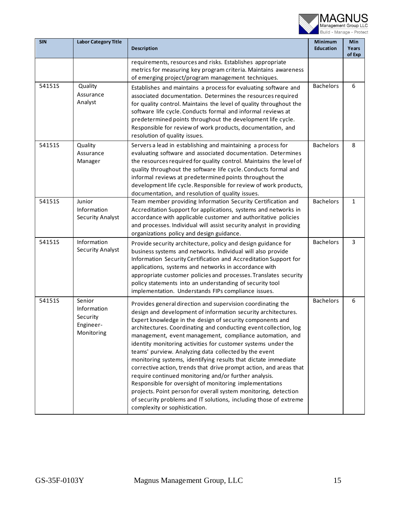

| <b>SIN</b> | <b>Labor Category Title</b>                                  | <b>Description</b>                                                                                                                                                                                                                                                                                                                                                                                                                                                                                                                                                                                                                                                                                                                                                                                                                                                                       | <b>Minimum</b><br><b>Education</b> | Min<br>Years<br>of Exp |
|------------|--------------------------------------------------------------|------------------------------------------------------------------------------------------------------------------------------------------------------------------------------------------------------------------------------------------------------------------------------------------------------------------------------------------------------------------------------------------------------------------------------------------------------------------------------------------------------------------------------------------------------------------------------------------------------------------------------------------------------------------------------------------------------------------------------------------------------------------------------------------------------------------------------------------------------------------------------------------|------------------------------------|------------------------|
|            |                                                              | requirements, resources and risks. Establishes appropriate<br>metrics for measuring key program criteria. Maintains awareness<br>of emerging project/program management techniques.                                                                                                                                                                                                                                                                                                                                                                                                                                                                                                                                                                                                                                                                                                      |                                    |                        |
| 54151S     | Quality<br>Assurance<br>Analyst                              | Establishes and maintains a process for evaluating software and<br>associated documentation. Determines the resources required<br>for quality control. Maintains the level of quality throughout the<br>software life cycle. Conducts formal and informal reviews at<br>predetermined points throughout the development life cycle.<br>Responsible for review of work products, documentation, and<br>resolution of quality issues.                                                                                                                                                                                                                                                                                                                                                                                                                                                      | <b>Bachelors</b>                   | 6                      |
| 54151S     | Quality<br>Assurance<br>Manager                              | Servers a lead in establishing and maintaining a process for<br>evaluating software and associated documentation. Determines<br>the resources required for quality control. Maintains the level of<br>quality throughout the software life cycle. Conducts formal and<br>informal reviews at predetermined points throughout the<br>development life cycle. Responsible for review of work products,<br>documentation, and resolution of quality issues.                                                                                                                                                                                                                                                                                                                                                                                                                                 | <b>Bachelors</b>                   | 8                      |
| 54151S     | Junior<br>Information<br><b>Security Analyst</b>             | Team member providing Information Security Certification and<br>Accreditation Support for applications, systems and networks in<br>accordance with applicable customer and authoritative policies<br>and processes. Individual will assist security analyst in providing<br>organizations policy and design guidance.                                                                                                                                                                                                                                                                                                                                                                                                                                                                                                                                                                    | <b>Bachelors</b>                   | $\mathbf{1}$           |
| 54151S     | Information<br><b>Security Analyst</b>                       | Provide security architecture, policy and design guidance for<br>business systems and networks. Individual will also provide<br>Information Security Certification and Accreditation Support for<br>applications, systems and networks in accordance with<br>appropriate customer policies and processes. Translates security<br>policy statements into an understanding of security tool<br>implementation. Understands FIPs compliance issues.                                                                                                                                                                                                                                                                                                                                                                                                                                         | <b>Bachelors</b>                   | 3                      |
| 54151S     | Senior<br>Information<br>Security<br>Engineer-<br>Monitoring | Provides general direction and supervision coordinating the<br>design and development of information security architectures.<br>Expert knowledge in the design of security components and<br>architectures. Coordinating and conducting event collection, log<br>management, event management, compliance automation, and<br>identity monitoring activities for customer systems under the<br>teams' purview. Analyzing data collected by the event<br>monitoring systems, identifying results that dictate immediate<br>corrective action, trends that drive prompt action, and areas that<br>require continued monitoring and/or further analysis.<br>Responsible for oversight of monitoring implementations<br>projects. Point person for overall system monitoring, detection<br>of security problems and IT solutions, including those of extreme<br>complexity or sophistication. | <b>Bachelors</b>                   | 6                      |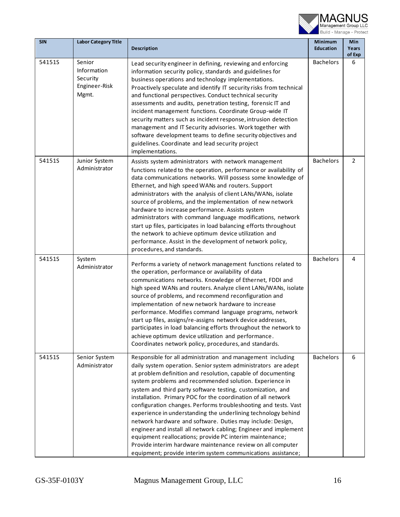

| <b>SIN</b> | <b>Labor Category Title</b>                                 | <b>Description</b>                                                                                                                                                                                                                                                                                                                                                                                                                                                                                                                                                                                                                                                                                                                                                                                                                                        | <b>Minimum</b><br><b>Education</b> | Min<br>Years<br>of Exp |
|------------|-------------------------------------------------------------|-----------------------------------------------------------------------------------------------------------------------------------------------------------------------------------------------------------------------------------------------------------------------------------------------------------------------------------------------------------------------------------------------------------------------------------------------------------------------------------------------------------------------------------------------------------------------------------------------------------------------------------------------------------------------------------------------------------------------------------------------------------------------------------------------------------------------------------------------------------|------------------------------------|------------------------|
| 54151S     | Senior<br>Information<br>Security<br>Engineer-Risk<br>Mgmt. | Lead security engineer in defining, reviewing and enforcing<br>information security policy, standards and guidelines for<br>business operations and technology implementations.<br>Proactively speculate and identify IT security risks from technical<br>and functional perspectives. Conduct technical security<br>assessments and audits, penetration testing, forensic IT and<br>incident management functions. Coordinate Group-wide IT<br>security matters such as incident response, intrusion detection<br>management and IT Security advisories. Work together with<br>software development teams to define security objectives and<br>guidelines. Coordinate and lead security project<br>implementations.                                                                                                                                      | <b>Bachelors</b>                   | 6                      |
| 54151S     | Junior System<br>Administrator                              | Assists system administrators with network management<br>functions related to the operation, performance or availability of<br>data communications networks. Will possess some knowledge of<br>Ethernet, and high speed WANs and routers. Support<br>administrators with the analysis of client LANs/WANs, isolate<br>source of problems, and the implementation of new network<br>hardware to increase performance. Assists system<br>administrators with command language modifications, network<br>start up files, participates in load balancing efforts throughout<br>the network to achieve optimum device utilization and<br>performance. Assist in the development of network policy,<br>procedures, and standards.                                                                                                                               | <b>Bachelors</b>                   | $\overline{2}$         |
| 54151S     | System<br>Administrator                                     | Performs a variety of network management functions related to<br>the operation, performance or availability of data<br>communications networks. Knowledge of Ethernet, FDDI and<br>high speed WANs and routers. Analyze client LANs/WANs, isolate<br>source of problems, and recommend reconfiguration and<br>implementation of new network hardware to increase<br>performance. Modifies command language programs, network<br>start up files, assigns/re-assigns network device addresses,<br>participates in load balancing efforts throughout the network to<br>achieve optimum device utilization and performance.<br>Coordinates network policy, procedures, and standards.                                                                                                                                                                         | <b>Bachelors</b>                   | 4                      |
| 54151S     | Senior System<br>Administrator                              | Responsible for all administration and management including<br>daily system operation. Senior system administrators are adept<br>at problem definition and resolution, capable of documenting<br>system problems and recommended solution. Experience in<br>system and third party software testing, customization, and<br>installation. Primary POC for the coordination of all network<br>configuration changes. Performs troubleshooting and tests. Vast<br>experience in understanding the underlining technology behind<br>network hardware and software. Duties may include: Design,<br>engineer and install all network cabling; Engineer and implement<br>equipment reallocations; provide PC interim maintenance;<br>Provide interim hardware maintenance review on all computer<br>equipment; provide interim system communications assistance; | <b>Bachelors</b>                   | 6                      |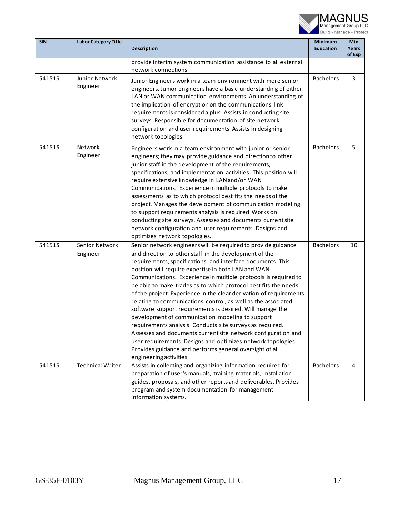

| <b>SIN</b> | <b>Labor Category Title</b> | <b>Description</b>                                                                                                                                                                                                                                                                                                                                                                                                                                                                                                                                                                                                                                                                                                                                                                                                                                                                                                              | <b>Minimum</b><br><b>Education</b> | Min<br>Years<br>of Exp |
|------------|-----------------------------|---------------------------------------------------------------------------------------------------------------------------------------------------------------------------------------------------------------------------------------------------------------------------------------------------------------------------------------------------------------------------------------------------------------------------------------------------------------------------------------------------------------------------------------------------------------------------------------------------------------------------------------------------------------------------------------------------------------------------------------------------------------------------------------------------------------------------------------------------------------------------------------------------------------------------------|------------------------------------|------------------------|
|            |                             | provide interim system communication assistance to all external<br>network connections.                                                                                                                                                                                                                                                                                                                                                                                                                                                                                                                                                                                                                                                                                                                                                                                                                                         |                                    |                        |
| 54151S     | Junior Network<br>Engineer  | Junior Engineers work in a team environment with more senior<br>engineers. Junior engineers have a basic understanding of either<br>LAN or WAN communication environments. An understanding of<br>the implication of encryption on the communications link<br>requirements is considered a plus. Assists in conducting site<br>surveys. Responsible for documentation of site network<br>configuration and user requirements. Assists in designing<br>network topologies.                                                                                                                                                                                                                                                                                                                                                                                                                                                       | <b>Bachelors</b>                   | 3                      |
| 54151S     | Network<br>Engineer         | Engineers work in a team environment with junior or senior<br>engineers; they may provide guidance and direction to other<br>junior staff in the development of the requirements,<br>specifications, and implementation activities. This position will<br>require extensive knowledge in LAN and/or WAN<br>Communications. Experience in multiple protocols to make<br>assessments as to which protocol best fits the needs of the<br>project. Manages the development of communication modeling<br>to support requirements analysis is required. Works on<br>conducting site surveys. Assesses and documents current site<br>network configuration and user requirements. Designs and<br>optimizes network topologies.                                                                                                                                                                                                         | <b>Bachelors</b>                   | 5                      |
| 54151S     | Senior Network<br>Engineer  | Senior network engineers will be required to provide guidance<br>and direction to other staff in the development of the<br>requirements, specifications, and interface documents. This<br>position will require expertise in both LAN and WAN<br>Communications. Experience in multiple protocols is required to<br>be able to make trades as to which protocol best fits the needs<br>of the project. Experience in the clear derivation of requirements<br>relating to communications control, as well as the associated<br>software support requirements is desired. Will manage the<br>development of communication modeling to support<br>requirements analysis. Conducts site surveys as required.<br>Assesses and documents current site network configuration and<br>user requirements. Designs and optimizes network topologies.<br>Provides guidance and performs general oversight of all<br>engineering activities. | <b>Bachelors</b>                   | 10                     |
| 54151S     | <b>Technical Writer</b>     | Assists in collecting and organizing information required for<br>preparation of user's manuals, training materials, installation<br>guides, proposals, and other reports and deliverables. Provides<br>program and system documentation for management<br>information systems.                                                                                                                                                                                                                                                                                                                                                                                                                                                                                                                                                                                                                                                  | <b>Bachelors</b>                   | 4                      |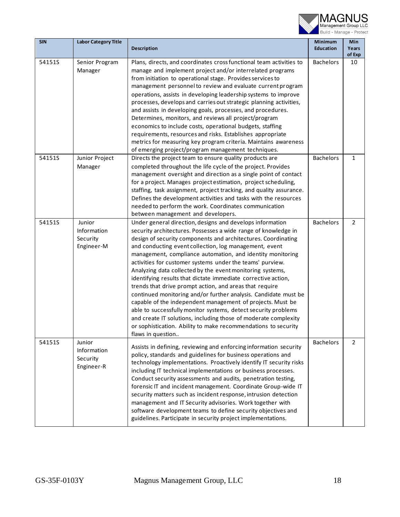

| <b>SIN</b> | <b>Labor Category Title</b>                     | <b>Description</b>                                                                                                                                                                                                                                                                                                                                                                                                                                                                                                                                                                                                                                                                                                                                                                                                                                                                                                                      | Minimum<br><b>Education</b> | Min<br>Years<br>of Exp |
|------------|-------------------------------------------------|-----------------------------------------------------------------------------------------------------------------------------------------------------------------------------------------------------------------------------------------------------------------------------------------------------------------------------------------------------------------------------------------------------------------------------------------------------------------------------------------------------------------------------------------------------------------------------------------------------------------------------------------------------------------------------------------------------------------------------------------------------------------------------------------------------------------------------------------------------------------------------------------------------------------------------------------|-----------------------------|------------------------|
| 54151S     | Senior Program<br>Manager                       | Plans, directs, and coordinates cross functional team activities to<br>manage and implement project and/or interrelated programs<br>from initiation to operational stage. Provides services to<br>management personnel to review and evaluate current program<br>operations, assists in developing leadership systems to improve<br>processes, develops and carries out strategic planning activities,<br>and assists in developing goals, processes, and procedures.<br>Determines, monitors, and reviews all project/program<br>economics to include costs, operational budgets, staffing<br>requirements, resources and risks. Establishes appropriate<br>metrics for measuring key program criteria. Maintains awareness<br>of emerging project/program management techniques.                                                                                                                                                      | <b>Bachelors</b>            | 10                     |
| 54151S     | Junior Project<br>Manager                       | Directs the project team to ensure quality products are<br>completed throughout the life cycle of the project. Provides<br>management oversight and direction as a single point of contact<br>for a project. Manages project estimation, project scheduling,<br>staffing, task assignment, project tracking, and quality assurance.<br>Defines the development activities and tasks with the resources<br>needed to perform the work. Coordinates communication<br>between management and developers.                                                                                                                                                                                                                                                                                                                                                                                                                                   | <b>Bachelors</b>            | $\mathbf{1}$           |
| 54151S     | Junior<br>Information<br>Security<br>Engineer-M | Under general direction, designs and develops information<br>security architectures. Possesses a wide range of knowledge in<br>design of security components and architectures. Coordinating<br>and conducting event collection, log management, event<br>management, compliance automation, and identity monitoring<br>activities for customer systems under the teams' purview.<br>Analyzing data collected by the event monitoring systems,<br>identifying results that dictate immediate corrective action,<br>trends that drive prompt action, and areas that require<br>continued monitoring and/or further analysis. Candidate must be<br>capable of the independent management of projects. Must be<br>able to successfully monitor systems, detect security problems<br>and create IT solutions, including those of moderate complexity<br>or sophistication. Ability to make recommendations to security<br>flaws in question | <b>Bachelors</b>            | $\overline{2}$         |
| 54151S     | Junior<br>Information<br>Security<br>Engineer-R | Assists in defining, reviewing and enforcing information security<br>policy, standards and guidelines for business operations and<br>technology implementations. Proactively identify IT security risks<br>including IT technical implementations or business processes.<br>Conduct security assessments and audits, penetration testing,<br>forensic IT and incident management. Coordinate Group-wide IT<br>security matters such as incident response, intrusion detection<br>management and IT Security advisories. Work together with<br>software development teams to define security objectives and<br>guidelines. Participate in security project implementations.                                                                                                                                                                                                                                                              | <b>Bachelors</b>            | $\overline{2}$         |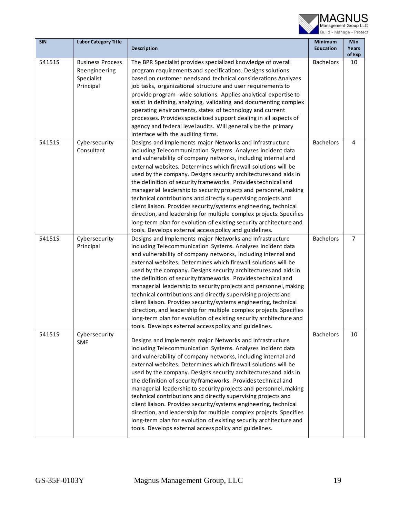

| <b>SIN</b> | <b>Labor Category Title</b>                                         | <b>Description</b>                                                                                                                                                                                                                                                                                                                                                                                                                                                                                                                                                                                                                                                                                                                                                                                            | <b>Minimum</b><br><b>Education</b> | Min<br>Years<br>of Exp |
|------------|---------------------------------------------------------------------|---------------------------------------------------------------------------------------------------------------------------------------------------------------------------------------------------------------------------------------------------------------------------------------------------------------------------------------------------------------------------------------------------------------------------------------------------------------------------------------------------------------------------------------------------------------------------------------------------------------------------------------------------------------------------------------------------------------------------------------------------------------------------------------------------------------|------------------------------------|------------------------|
| 54151S     | <b>Business Process</b><br>Reengineering<br>Specialist<br>Principal | The BPR Specialist provides specialized knowledge of overall<br>program requirements and specifications. Designs solutions<br>based on customer needs and technical considerations Analyzes<br>job tasks, organizational structure and user requirements to<br>provide program -wide solutions. Applies analytical expertise to<br>assist in defining, analyzing, validating and documenting complex<br>operating environments, states of technology and current<br>processes. Provides specialized support dealing in all aspects of<br>agency and federal level audits. Will generally be the primary<br>interface with the auditing firms.                                                                                                                                                                 | <b>Bachelors</b>                   | 10                     |
| 54151S     | Cybersecurity<br>Consultant                                         | Designs and Implements major Networks and Infrastructure<br>including Telecommunication Systems. Analyzes incident data<br>and vulnerability of company networks, including internal and<br>external websites. Determines which firewall solutions will be<br>used by the company. Designs security architectures and aids in<br>the definition of security frameworks. Provides technical and<br>managerial leadership to security projects and personnel, making<br>technical contributions and directly supervising projects and<br>client liaison. Provides security/systems engineering, technical<br>direction, and leadership for multiple complex projects. Specifies<br>long-term plan for evolution of existing security architecture and<br>tools. Develops external access policy and guidelines. | <b>Bachelors</b>                   | 4                      |
| 54151S     | Cybersecurity<br>Principal                                          | Designs and Implements major Networks and Infrastructure<br>including Telecommunication Systems. Analyzes incident data<br>and vulnerability of company networks, including internal and<br>external websites. Determines which firewall solutions will be<br>used by the company. Designs security architectures and aids in<br>the definition of security frameworks. Provides technical and<br>managerial leadership to security projects and personnel, making<br>technical contributions and directly supervising projects and<br>client liaison. Provides security/systems engineering, technical<br>direction, and leadership for multiple complex projects. Specifies<br>long-term plan for evolution of existing security architecture and<br>tools. Develops external access policy and guidelines. | <b>Bachelors</b>                   | $\overline{7}$         |
| 54151S     | Cybersecurity<br>SME                                                | Designs and Implements major Networks and Infrastructure<br>including Telecommunication Systems. Analyzes incident data<br>and vulnerability of company networks, including internal and<br>external websites. Determines which firewall solutions will be<br>used by the company. Designs security architectures and aids in<br>the definition of security frameworks. Provides technical and<br>managerial leadership to security projects and personnel, making<br>technical contributions and directly supervising projects and<br>client liaison. Provides security/systems engineering, technical<br>direction, and leadership for multiple complex projects. Specifies<br>long-term plan for evolution of existing security architecture and<br>tools. Develops external access policy and guidelines. | <b>Bachelors</b>                   | 10                     |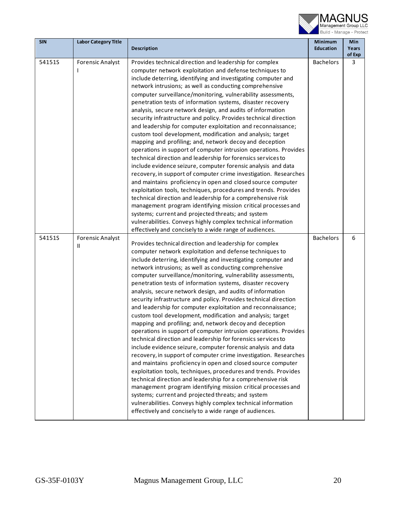

| <b>SIN</b> | <b>Labor Category Title</b>  |                                                                                                                                                                                                                                                                                                                                                                                                                                                                                                                                                                                                                                                                                                                                                                                                                                                                                                                                                                                                                                                                                                                                                                                                                                                                                                                                                                                                                                        | <b>Minimum</b>   | Min             |
|------------|------------------------------|----------------------------------------------------------------------------------------------------------------------------------------------------------------------------------------------------------------------------------------------------------------------------------------------------------------------------------------------------------------------------------------------------------------------------------------------------------------------------------------------------------------------------------------------------------------------------------------------------------------------------------------------------------------------------------------------------------------------------------------------------------------------------------------------------------------------------------------------------------------------------------------------------------------------------------------------------------------------------------------------------------------------------------------------------------------------------------------------------------------------------------------------------------------------------------------------------------------------------------------------------------------------------------------------------------------------------------------------------------------------------------------------------------------------------------------|------------------|-----------------|
|            |                              | <b>Description</b>                                                                                                                                                                                                                                                                                                                                                                                                                                                                                                                                                                                                                                                                                                                                                                                                                                                                                                                                                                                                                                                                                                                                                                                                                                                                                                                                                                                                                     | <b>Education</b> | Years<br>of Exp |
| 54151S     | <b>Forensic Analyst</b>      | Provides technical direction and leadership for complex<br>computer network exploitation and defense techniques to<br>include deterring, identifying and investigating computer and<br>network intrusions; as well as conducting comprehensive<br>computer surveillance/monitoring, vulnerability assessments,<br>penetration tests of information systems, disaster recovery<br>analysis, secure network design, and audits of information<br>security infrastructure and policy. Provides technical direction<br>and leadership for computer exploitation and reconnaissance;<br>custom tool development, modification and analysis; target<br>mapping and profiling; and, network decoy and deception<br>operations in support of computer intrusion operations. Provides<br>technical direction and leadership for forensics services to<br>include evidence seizure, computer forensic analysis and data<br>recovery, in support of computer crime investigation. Researches<br>and maintains proficiency in open and closed source computer<br>exploitation tools, techniques, procedures and trends. Provides<br>technical direction and leadership for a comprehensive risk<br>management program identifying mission critical processes and<br>systems; current and projected threats; and system<br>vulnerabilities. Conveys highly complex technical information<br>effectively and concisely to a wide range of audiences. | <b>Bachelors</b> | 3               |
| 54151S     | <b>Forensic Analyst</b><br>Ш | Provides technical direction and leadership for complex<br>computer network exploitation and defense techniques to<br>include deterring, identifying and investigating computer and<br>network intrusions; as well as conducting comprehensive<br>computer surveillance/monitoring, vulnerability assessments,<br>penetration tests of information systems, disaster recovery<br>analysis, secure network design, and audits of information<br>security infrastructure and policy. Provides technical direction<br>and leadership for computer exploitation and reconnaissance;<br>custom tool development, modification and analysis; target<br>mapping and profiling; and, network decoy and deception<br>operations in support of computer intrusion operations. Provides<br>technical direction and leadership for forensics services to<br>include evidence seizure, computer forensic analysis and data<br>recovery, in support of computer crime investigation. Researches<br>and maintains proficiency in open and closed source computer<br>exploitation tools, techniques, procedures and trends. Provides<br>technical direction and leadership for a comprehensive risk<br>management program identifying mission critical processes and<br>systems; current and projected threats; and system<br>vulnerabilities. Conveys highly complex technical information<br>effectively and concisely to a wide range of audiences. | <b>Bachelors</b> | 6               |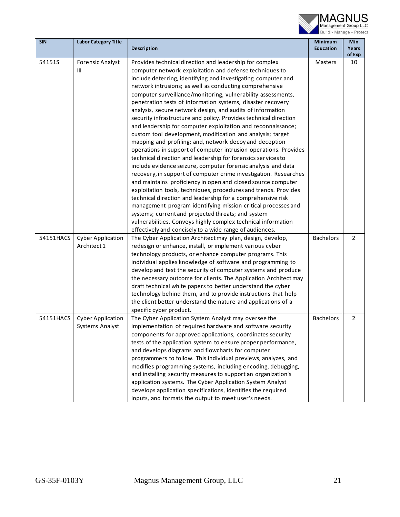

| <b>SIN</b> | <b>Labor Category Title</b>                 |                                                                                                                                                                                                                                                                                                                                                                                                                                                                                                                                                                                                                                                                                                                                                                                                                                                                                                                                                                                                                                                                                                                                                                                                                                                                                                                                                                                                                                        | <b>Minimum</b>   | Min             |
|------------|---------------------------------------------|----------------------------------------------------------------------------------------------------------------------------------------------------------------------------------------------------------------------------------------------------------------------------------------------------------------------------------------------------------------------------------------------------------------------------------------------------------------------------------------------------------------------------------------------------------------------------------------------------------------------------------------------------------------------------------------------------------------------------------------------------------------------------------------------------------------------------------------------------------------------------------------------------------------------------------------------------------------------------------------------------------------------------------------------------------------------------------------------------------------------------------------------------------------------------------------------------------------------------------------------------------------------------------------------------------------------------------------------------------------------------------------------------------------------------------------|------------------|-----------------|
|            |                                             | <b>Description</b>                                                                                                                                                                                                                                                                                                                                                                                                                                                                                                                                                                                                                                                                                                                                                                                                                                                                                                                                                                                                                                                                                                                                                                                                                                                                                                                                                                                                                     | <b>Education</b> | Years<br>of Exp |
| 54151S     | <b>Forensic Analyst</b><br>Ш                | Provides technical direction and leadership for complex<br>computer network exploitation and defense techniques to<br>include deterring, identifying and investigating computer and<br>network intrusions; as well as conducting comprehensive<br>computer surveillance/monitoring, vulnerability assessments,<br>penetration tests of information systems, disaster recovery<br>analysis, secure network design, and audits of information<br>security infrastructure and policy. Provides technical direction<br>and leadership for computer exploitation and reconnaissance;<br>custom tool development, modification and analysis; target<br>mapping and profiling; and, network decoy and deception<br>operations in support of computer intrusion operations. Provides<br>technical direction and leadership for forensics services to<br>include evidence seizure, computer forensic analysis and data<br>recovery, in support of computer crime investigation. Researches<br>and maintains proficiency in open and closed source computer<br>exploitation tools, techniques, procedures and trends. Provides<br>technical direction and leadership for a comprehensive risk<br>management program identifying mission critical processes and<br>systems; current and projected threats; and system<br>vulnerabilities. Conveys highly complex technical information<br>effectively and concisely to a wide range of audiences. | Masters          | 10              |
| 54151HACS  | <b>Cyber Application</b><br>Architect 1     | The Cyber Application Architect may plan, design, develop,<br>redesign or enhance, install, or implement various cyber<br>technology products, or enhance computer programs. This<br>individual applies knowledge of software and programming to<br>develop and test the security of computer systems and produce<br>the necessary outcome for clients. The Application Architect may<br>draft technical white papers to better understand the cyber<br>technology behind them, and to provide instructions that help<br>the client better understand the nature and applications of a<br>specific cyber product.                                                                                                                                                                                                                                                                                                                                                                                                                                                                                                                                                                                                                                                                                                                                                                                                                      | <b>Bachelors</b> | $\overline{2}$  |
| 54151HACS  | <b>Cyber Application</b><br>Systems Analyst | The Cyber Application System Analyst may oversee the<br>implementation of required hardware and software security<br>components for approved applications, coordinates security<br>tests of the application system to ensure proper performance,<br>and develops diagrams and flowcharts for computer<br>programmers to follow. This individual previews, analyzes, and<br>modifies programming systems, including encoding, debugging,<br>and installing security measures to support an organization's<br>application systems. The Cyber Application System Analyst<br>develops application specifications, identifies the required<br>inputs, and formats the output to meet user's needs.                                                                                                                                                                                                                                                                                                                                                                                                                                                                                                                                                                                                                                                                                                                                          | <b>Bachelors</b> | $\overline{2}$  |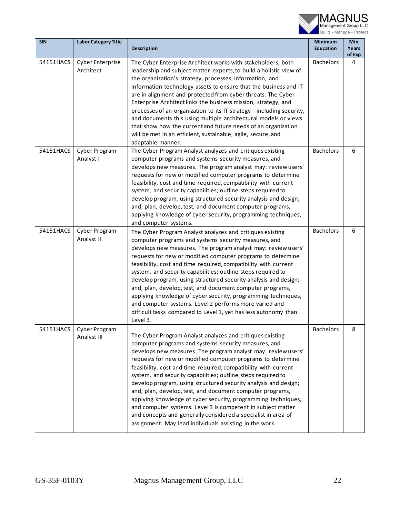

| <b>SIN</b> | <b>Labor Category Title</b>          | <b>Description</b>                                                                                                                                                                                                                                                                                                                                                                                                                                                                                                                                                                                                                                                                                                                                                                | Minimum<br><b>Education</b> | Min<br>Years<br>of Exp |
|------------|--------------------------------------|-----------------------------------------------------------------------------------------------------------------------------------------------------------------------------------------------------------------------------------------------------------------------------------------------------------------------------------------------------------------------------------------------------------------------------------------------------------------------------------------------------------------------------------------------------------------------------------------------------------------------------------------------------------------------------------------------------------------------------------------------------------------------------------|-----------------------------|------------------------|
| 54151HACS  | <b>Cyber Enterprise</b><br>Architect | The Cyber Enterprise Architect works with stakeholders, both<br>leadership and subject matter experts, to build a holistic view of<br>the organization's strategy, processes, information, and<br>information technology assets to ensure that the business and IT<br>are in alignment and protected from cyber threats. The Cyber<br>Enterprise Architect links the business mission, strategy, and<br>processes of an organization to its IT strategy - including security,<br>and documents this using multiple architectural models or views<br>that show how the current and future needs of an organization<br>will be met in an efficient, sustainable, agile, secure, and<br>adaptable manner.                                                                            | <b>Bachelors</b>            | 4                      |
| 54151HACS  | Cyber Program<br>Analyst I           | The Cyber Program Analyst analyzes and critiques existing<br>computer programs and systems security measures, and<br>develops new measures. The program analyst may: review users'<br>requests for new or modified computer programs to determine<br>feasibility, cost and time required, compatibility with current<br>system, and security capabilities; outline steps required to<br>develop program, using structured security analysis and design;<br>and, plan, develop, test, and document computer programs,<br>applying knowledge of cyber security, programming techniques,<br>and computer systems.                                                                                                                                                                    | <b>Bachelors</b>            | 6                      |
| 54151HACS  | Cyber Program<br>Analyst II          | The Cyber Program Analyst analyzes and critiques existing<br>computer programs and systems security measures, and<br>develops new measures. The program analyst may: review users'<br>requests for new or modified computer programs to determine<br>feasibility, cost and time required, compatibility with current<br>system, and security capabilities; outline steps required to<br>develop program, using structured security analysis and design;<br>and, plan, develop, test, and document computer programs,<br>applying knowledge of cyber security, programming techniques,<br>and computer systems. Level 2 performs more varied and<br>difficult tasks compared to Level 1, yet has less autonomy than<br>Level 3.                                                    | <b>Bachelors</b>            | 6                      |
| 54151HACS  | Cyber Program<br>Analyst III         | The Cyber Program Analyst analyzes and critiques existing<br>computer programs and systems security measures, and<br>develops new measures. The program analyst may: review users'<br>requests for new or modified computer programs to determine<br>feasibility, cost and time required, compatibility with current<br>system, and security capabilities; outline steps required to<br>develop program, using structured security analysis and design;<br>and, plan, develop, test, and document computer programs,<br>applying knowledge of cyber security, programming techniques,<br>and computer systems. Level 3 is competent in subject matter<br>and concepts and generally considered a specialist in area of<br>assignment. May lead individuals assisting in the work. | <b>Bachelors</b>            | Q                      |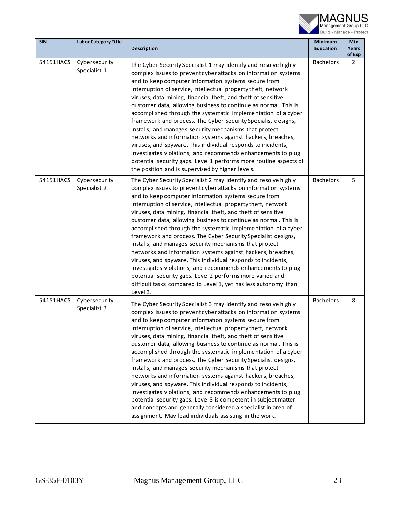

| <b>SIN</b> | <b>Labor Category Title</b>   | <b>Description</b>                                                                                                                                                                                                                                                                                                                                                                                                                                                                                                                                                                                                                                                                                                                                                                                                                                                                                                                                                                       | Minimum<br><b>Education</b> | Min<br>Years             |
|------------|-------------------------------|------------------------------------------------------------------------------------------------------------------------------------------------------------------------------------------------------------------------------------------------------------------------------------------------------------------------------------------------------------------------------------------------------------------------------------------------------------------------------------------------------------------------------------------------------------------------------------------------------------------------------------------------------------------------------------------------------------------------------------------------------------------------------------------------------------------------------------------------------------------------------------------------------------------------------------------------------------------------------------------|-----------------------------|--------------------------|
| 54151HACS  | Cybersecurity<br>Specialist 1 | The Cyber Security Specialist 1 may identify and resolve highly<br>complex issues to prevent cyber attacks on information systems<br>and to keep computer information systems secure from<br>interruption of service, intellectual property theft, network<br>viruses, data mining, financial theft, and theft of sensitive<br>customer data, allowing business to continue as normal. This is<br>accomplished through the systematic implementation of a cyber<br>framework and process. The Cyber Security Specialist designs,<br>installs, and manages security mechanisms that protect<br>networks and information systems against hackers, breaches,<br>viruses, and spyware. This individual responds to incidents,<br>investigates violations, and recommends enhancements to plug<br>potential security gaps. Level 1 performs more routine aspects of<br>the position and is supervised by higher levels.                                                                       | <b>Bachelors</b>            | of Exp<br>$\overline{2}$ |
| 54151HACS  | Cybersecurity<br>Specialist 2 | The Cyber Security Specialist 2 may identify and resolve highly<br>complex issues to prevent cyber attacks on information systems<br>and to keep computer information systems secure from<br>interruption of service, intellectual property theft, network<br>viruses, data mining, financial theft, and theft of sensitive<br>customer data, allowing business to continue as normal. This is<br>accomplished through the systematic implementation of a cyber<br>framework and process. The Cyber Security Specialist designs,<br>installs, and manages security mechanisms that protect<br>networks and information systems against hackers, breaches,<br>viruses, and spyware. This individual responds to incidents,<br>investigates violations, and recommends enhancements to plug<br>potential security gaps. Level 2 performs more varied and<br>difficult tasks compared to Level 1, yet has less autonomy than<br>Level 3.                                                    | <b>Bachelors</b>            | 5                        |
| 54151HACS  | Cybersecurity<br>Specialist 3 | The Cyber Security Specialist 3 may identify and resolve highly<br>complex issues to prevent cyber attacks on information systems<br>and to keep computer information systems secure from<br>interruption of service, intellectual property theft, network<br>viruses, data mining, financial theft, and theft of sensitive<br>customer data, allowing business to continue as normal. This is<br>accomplished through the systematic implementation of a cyber<br>framework and process. The Cyber Security Specialist designs,<br>installs, and manages security mechanisms that protect<br>networks and information systems against hackers, breaches,<br>viruses, and spyware. This individual responds to incidents,<br>investigates violations, and recommends enhancements to plug<br>potential security gaps. Level 3 is competent in subject matter<br>and concepts and generally considered a specialist in area of<br>assignment. May lead individuals assisting in the work. | <b>Bachelors</b>            | 8                        |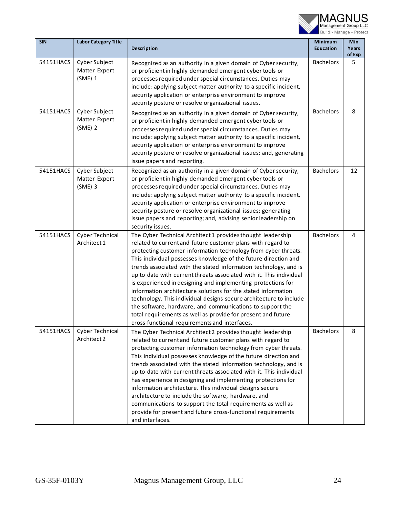

| <b>SIN</b> | <b>Labor Category Title</b>                 | Description                                                                                                                                                                                                                                                                                                                                                                                                                                                                                                                                                                                                                                                                                                                                                                                     | Minimum<br><b>Education</b> | Min<br>Years<br>of Exp |
|------------|---------------------------------------------|-------------------------------------------------------------------------------------------------------------------------------------------------------------------------------------------------------------------------------------------------------------------------------------------------------------------------------------------------------------------------------------------------------------------------------------------------------------------------------------------------------------------------------------------------------------------------------------------------------------------------------------------------------------------------------------------------------------------------------------------------------------------------------------------------|-----------------------------|------------------------|
| 54151HACS  | Cyber Subject<br>Matter Expert<br>(SME) 1   | Recognized as an authority in a given domain of Cyber security,<br>or proficient in highly demanded emergent cyber tools or<br>processes required under special circumstances. Duties may<br>include: applying subject matter authority to a specific incident,<br>security application or enterprise environment to improve<br>security posture or resolve organizational issues.                                                                                                                                                                                                                                                                                                                                                                                                              | <b>Bachelors</b>            | 5                      |
| 54151HACS  | Cyber Subject<br>Matter Expert<br>$(SME)$ 2 | Recognized as an authority in a given domain of Cyber security,<br>or proficient in highly demanded emergent cyber tools or<br>processes required under special circumstances. Duties may<br>include: applying subject matter authority to a specific incident,<br>security application or enterprise environment to improve<br>security posture or resolve organizational issues; and, generating<br>issue papers and reporting.                                                                                                                                                                                                                                                                                                                                                               | <b>Bachelors</b>            | 8                      |
| 54151HACS  | Cyber Subject<br>Matter Expert<br>$(SME)$ 3 | Recognized as an authority in a given domain of Cyber security,<br>or proficient in highly demanded emergent cyber tools or<br>processes required under special circumstances. Duties may<br>include: applying subject matter authority to a specific incident,<br>security application or enterprise environment to improve<br>security posture or resolve organizational issues; generating<br>issue papers and reporting; and, advising senior leadership on<br>security issues.                                                                                                                                                                                                                                                                                                             | <b>Bachelors</b>            | 12                     |
| 54151HACS  | <b>Cyber Technical</b><br>Architect 1       | The Cyber Technical Architect 1 provides thought leadership<br>related to current and future customer plans with regard to<br>protecting customer information technology from cyber threats.<br>This individual possesses knowledge of the future direction and<br>trends associated with the stated information technology, and is<br>up to date with current threats associated with it. This individual<br>is experienced in designing and implementing protections for<br>information architecture solutions for the stated information<br>technology. This individual designs secure architecture to include<br>the software, hardware, and communications to support the<br>total requirements as well as provide for present and future<br>cross-functional requirements and interfaces. | <b>Bachelors</b>            | 4                      |
| 54151HACS  | Cyber Technical<br>Architect 2              | The Cyber Technical Architect 2 provides thought leadership<br>related to current and future customer plans with regard to<br>protecting customer information technology from cyber threats.<br>This individual possesses knowledge of the future direction and<br>trends associated with the stated information technology, and is<br>up to date with current threats associated with it. This individual<br>has experience in designing and implementing protections for<br>information architecture. This individual designs secure<br>architecture to include the software, hardware, and<br>communications to support the total requirements as well as<br>provide for present and future cross-functional requirements<br>and interfaces.                                                 | <b>Bachelors</b>            | 8                      |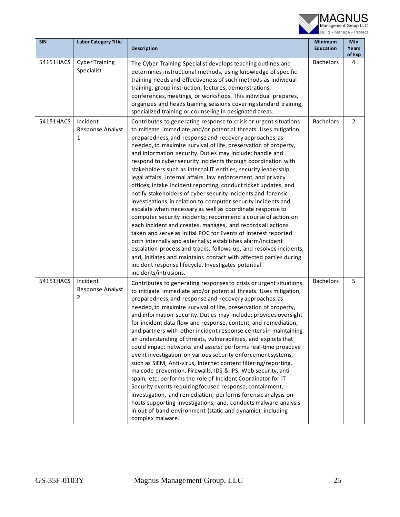

| <b>SIN</b> | <b>Labor Category Title</b>         |                                                                                                                                                                                                                                                                                                                                                                                                                                                                                                                                                                                                                                                                                                                                                                                                                                                                                                                                                                                                                                                                                                                                                                                                                                                                                                | Minimum          | Min             |
|------------|-------------------------------------|------------------------------------------------------------------------------------------------------------------------------------------------------------------------------------------------------------------------------------------------------------------------------------------------------------------------------------------------------------------------------------------------------------------------------------------------------------------------------------------------------------------------------------------------------------------------------------------------------------------------------------------------------------------------------------------------------------------------------------------------------------------------------------------------------------------------------------------------------------------------------------------------------------------------------------------------------------------------------------------------------------------------------------------------------------------------------------------------------------------------------------------------------------------------------------------------------------------------------------------------------------------------------------------------|------------------|-----------------|
|            |                                     | Description                                                                                                                                                                                                                                                                                                                                                                                                                                                                                                                                                                                                                                                                                                                                                                                                                                                                                                                                                                                                                                                                                                                                                                                                                                                                                    | <b>Education</b> | Years<br>of Exp |
| 54151HACS  | <b>Cyber Training</b><br>Specialist | The Cyber Training Specialist develops teaching outlines and<br>determines instructional methods, using knowledge of specific<br>training needs and effectiveness of such methods as individual<br>training, group instruction, lectures, demonstrations,<br>conferences, meetings, or workshops. This individual prepares,<br>organizes and heads training sessions covering standard training,<br>specialized training or counseling in designated areas.                                                                                                                                                                                                                                                                                                                                                                                                                                                                                                                                                                                                                                                                                                                                                                                                                                    | <b>Bachelors</b> | 4               |
| 54151HACS  | Incident<br>Response Analyst<br>1   | Contributes to generating response to crisis or urgent situations<br>to mitigate immediate and/or potential threats. Uses mitigation,<br>preparedness, and response and recovery approaches, as<br>needed, to maximize survival of life, preservation of property,<br>and information security. Duties may include: handle and<br>respond to cyber security incidents through coordination with<br>stakeholders such as internal IT entities, security leadership,<br>legal affairs, internal affairs, law enforcement, and privacy<br>offices; intake incident reporting, conduct ticket updates, and<br>notify stakeholders of cyber security incidents and forensic<br>investigations in relation to computer security incidents and<br>escalate when necessary as well as coordinate response to<br>computer security incidents; recommend a course of action on<br>each incident and creates, manages, and records all actions<br>taken and serve as initial POC for Events of Interest reported<br>both internally and externally; establishes alarm/incident<br>escalation process and tracks, follows-up, and resolves incidents;<br>and, initiates and maintains contact with affected parties during<br>incident response lifecycle. Investigates potential<br>incidents/intrusions. | <b>Bachelors</b> | $\overline{2}$  |
| 54151HACS  | Incident<br>Response Analyst<br>2   | Contributes to generating responses to crisis or urgent situations<br>to mitigate immediate and/or potential threats. Uses mitigation,<br>preparedness, and response and recovery approaches, as<br>needed, to maximize survival of life, preservation of property,<br>and information security. Duties may include: provides oversight<br>for incident data flow and response, content, and remediation,<br>and partners with other incident response centers in maintaining<br>an understanding of threats, vulnerabilities, and exploits that<br>could impact networks and assets; performs real-time proactive<br>event investigation on various security enforcement systems,<br>such as SIEM, Anti-virus, Internet content filtering/reporting,<br>malcode prevention, Firewalls, IDS & IPS, Web security, anti-<br>spam, etc; performs the role of Incident Coordinator for IT<br>Security events requiring focused response, containment,<br>investigation, and remediation; performs forensic analysis on<br>hosts supporting investigations; and, conducts malware analysis<br>in out-of-band environment (static and dynamic), including<br>complex malware.                                                                                                                        | <b>Bachelors</b> | 5               |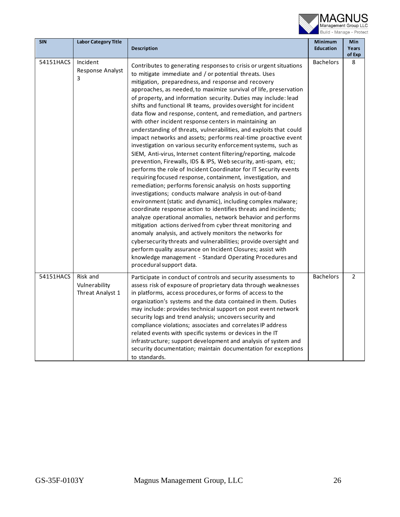

| <b>SIN</b> | <b>Labor Category Title</b>                   | <b>Description</b>                                                                                                                                                                                                                                                                                                                                                                                                                                                                                                                                                                                                                                                                                                                                                                                                                                                                                                                                                                                                                                                                                                                                                                                                                                                                                                                                                                                                                                                                                                                                                                                                                                                                                | <b>Minimum</b><br><b>Education</b> | <b>Min</b><br>Years |
|------------|-----------------------------------------------|---------------------------------------------------------------------------------------------------------------------------------------------------------------------------------------------------------------------------------------------------------------------------------------------------------------------------------------------------------------------------------------------------------------------------------------------------------------------------------------------------------------------------------------------------------------------------------------------------------------------------------------------------------------------------------------------------------------------------------------------------------------------------------------------------------------------------------------------------------------------------------------------------------------------------------------------------------------------------------------------------------------------------------------------------------------------------------------------------------------------------------------------------------------------------------------------------------------------------------------------------------------------------------------------------------------------------------------------------------------------------------------------------------------------------------------------------------------------------------------------------------------------------------------------------------------------------------------------------------------------------------------------------------------------------------------------------|------------------------------------|---------------------|
| 54151HACS  | Incident<br>Response Analyst<br>3             | Contributes to generating responses to crisis or urgent situations<br>to mitigate immediate and / or potential threats. Uses<br>mitigation, preparedness, and response and recovery<br>approaches, as needed, to maximize survival of life, preservation<br>of property, and information security. Duties may include: lead<br>shifts and functional IR teams, provides oversight for incident<br>data flow and response, content, and remediation, and partners<br>with other incident response centers in maintaining an<br>understanding of threats, vulnerabilities, and exploits that could<br>impact networks and assets; performs real-time proactive event<br>investigation on various security enforcement systems, such as<br>SIEM, Anti-virus, Internet content filtering/reporting, malcode<br>prevention, Firewalls, IDS & IPS, Web security, anti-spam, etc;<br>performs the role of Incident Coordinator for IT Security events<br>requiring focused response, containment, investigation, and<br>remediation; performs forensic analysis on hosts supporting<br>investigations; conducts malware analysis in out-of-band<br>environment (static and dynamic), including complex malware;<br>coordinate response action to identifies threats and incidents;<br>analyze operational anomalies, network behavior and performs<br>mitigation actions derived from cyber threat monitoring and<br>anomaly analysis, and actively monitors the networks for<br>cybersecurity threats and vulnerabilities; provide oversight and<br>perform quality assurance on Incident Closures; assist with<br>knowledge management - Standard Operating Procedures and<br>procedural support data. | <b>Bachelors</b>                   | of Exp<br>8         |
| 54151HACS  | Risk and<br>Vulnerability<br>Threat Analyst 1 | Participate in conduct of controls and security assessments to<br>assess risk of exposure of proprietary data through weaknesses<br>in platforms, access procedures, or forms of access to the<br>organization's systems and the data contained in them. Duties<br>may include: provides technical support on post event network<br>security logs and trend analysis; uncovers security and<br>compliance violations; associates and correlates IP address<br>related events with specific systems or devices in the IT<br>infrastructure; support development and analysis of system and<br>security documentation; maintain documentation for exceptions<br>to standards.                                                                                                                                                                                                                                                                                                                                                                                                                                                                                                                                                                                                                                                                                                                                                                                                                                                                                                                                                                                                                       | <b>Bachelors</b>                   | $\overline{2}$      |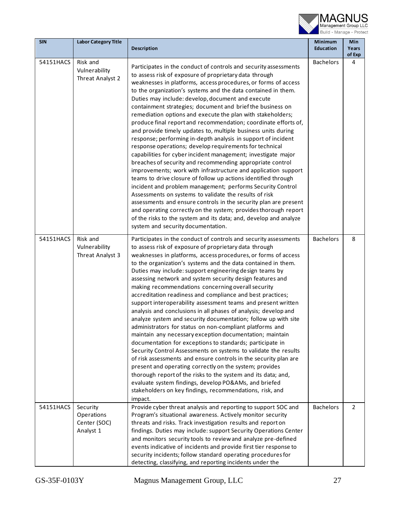

| <b>SIN</b> | <b>Labor Category Title</b>                         |                                                                                                                                                                                                                                                                                                                                                                                                                                                                                                                                                                                                                                                                                                                                                                                                                                                                                                                                                                                                                                                                                                                                                                                                                                                                                                                                                             | Minimum          | Min             |
|------------|-----------------------------------------------------|-------------------------------------------------------------------------------------------------------------------------------------------------------------------------------------------------------------------------------------------------------------------------------------------------------------------------------------------------------------------------------------------------------------------------------------------------------------------------------------------------------------------------------------------------------------------------------------------------------------------------------------------------------------------------------------------------------------------------------------------------------------------------------------------------------------------------------------------------------------------------------------------------------------------------------------------------------------------------------------------------------------------------------------------------------------------------------------------------------------------------------------------------------------------------------------------------------------------------------------------------------------------------------------------------------------------------------------------------------------|------------------|-----------------|
|            |                                                     | <b>Description</b>                                                                                                                                                                                                                                                                                                                                                                                                                                                                                                                                                                                                                                                                                                                                                                                                                                                                                                                                                                                                                                                                                                                                                                                                                                                                                                                                          | <b>Education</b> | Years<br>of Exp |
| 54151HACS  | Risk and<br>Vulnerability<br>Threat Analyst 2       | Participates in the conduct of controls and security assessments<br>to assess risk of exposure of proprietary data through<br>weaknesses in platforms, access procedures, or forms of access<br>to the organization's systems and the data contained in them.<br>Duties may include: develop, document and execute<br>containment strategies; document and brief the business on<br>remediation options and execute the plan with stakeholders;<br>produce final report and recommendation; coordinate efforts of,<br>and provide timely updates to, multiple business units during<br>response; performing in-depth analysis in support of incident<br>response operations; develop requirements for technical<br>capabilities for cyber incident management; investigate major<br>breaches of security and recommending appropriate control<br>improvements; work with infrastructure and application support<br>teams to drive closure of follow up actions identified through<br>incident and problem management; performs Security Control<br>Assessments on systems to validate the results of risk<br>assessments and ensure controls in the security plan are present<br>and operating correctly on the system; provides thorough report<br>of the risks to the system and its data; and, develop and analyze<br>system and security documentation. | <b>Bachelors</b> | 4               |
| 54151HACS  | Risk and<br>Vulnerability<br>Threat Analyst 3       | Participates in the conduct of controls and security assessments<br>to assess risk of exposure of proprietary data through<br>weaknesses in platforms, access procedures, or forms of access<br>to the organization's systems and the data contained in them.<br>Duties may include: support engineering design teams by<br>assessing network and system security design features and<br>making recommendations concerning overall security<br>accreditation readiness and compliance and best practices;<br>support interoperability assessment teams and present written<br>analysis and conclusions in all phases of analysis; develop and<br>analyze system and security documentation; follow up with site<br>administrators for status on non-compliant platforms and<br>maintain any necessary exception documentation; maintain<br>documentation for exceptions to standards; participate in<br>Security Control Assessments on systems to validate the results<br>of risk assessments and ensure controls in the security plan are<br>present and operating correctly on the system; provides<br>thorough report of the risks to the system and its data; and,<br>evaluate system findings, develop PO&AMs, and briefed<br>stakeholders on key findings, recommendations, risk, and<br>impact.                                                     | <b>Bachelors</b> | 8               |
| 54151HACS  | Security<br>Operations<br>Center (SOC)<br>Analyst 1 | Provide cyber threat analysis and reporting to support SOC and<br>Program's situational awareness. Actively monitor security<br>threats and risks. Track investigation results and report on<br>findings. Duties may include: support Security Operations Center<br>and monitors security tools to review and analyze pre-defined<br>events indicative of incidents and provide first tier response to<br>security incidents; follow standard operating procedures for<br>detecting, classifying, and reporting incidents under the                                                                                                                                                                                                                                                                                                                                                                                                                                                                                                                                                                                                                                                                                                                                                                                                                         | <b>Bachelors</b> | $\overline{2}$  |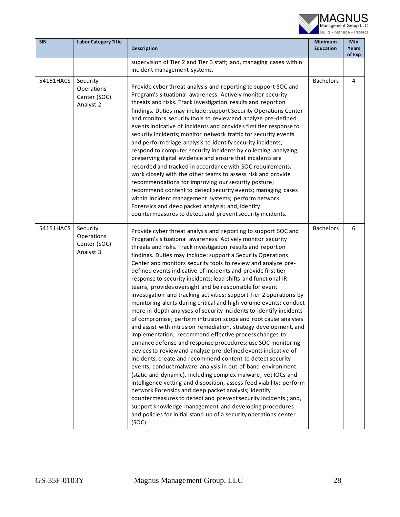

| <b>SIN</b> | <b>Labor Category Title</b>                         | Description                                                                                                                                                                                                                                                                                                                                                                                                                                                                                                                                                                                                                                                                                                                                                                                                                                                                                                                                                                                                                                                                                                                                                                                                                                                                                                                                                                                                                                                                                                                                                                                                              | Minimum<br><b>Education</b> | Min<br>Years<br>of Exp |
|------------|-----------------------------------------------------|--------------------------------------------------------------------------------------------------------------------------------------------------------------------------------------------------------------------------------------------------------------------------------------------------------------------------------------------------------------------------------------------------------------------------------------------------------------------------------------------------------------------------------------------------------------------------------------------------------------------------------------------------------------------------------------------------------------------------------------------------------------------------------------------------------------------------------------------------------------------------------------------------------------------------------------------------------------------------------------------------------------------------------------------------------------------------------------------------------------------------------------------------------------------------------------------------------------------------------------------------------------------------------------------------------------------------------------------------------------------------------------------------------------------------------------------------------------------------------------------------------------------------------------------------------------------------------------------------------------------------|-----------------------------|------------------------|
|            |                                                     | supervision of Tier 2 and Tier 3 staff; and, managing cases within<br>incident management systems.                                                                                                                                                                                                                                                                                                                                                                                                                                                                                                                                                                                                                                                                                                                                                                                                                                                                                                                                                                                                                                                                                                                                                                                                                                                                                                                                                                                                                                                                                                                       |                             |                        |
| 54151HACS  | Security<br>Operations<br>Center (SOC)<br>Analyst 2 | Provide cyber threat analysis and reporting to support SOC and<br>Program's situational awareness. Actively monitor security<br>threats and risks. Track investigation results and report on<br>findings. Duties may include: support Security Operations Center<br>and monitors security tools to review and analyze pre-defined<br>events indicative of incidents and provides first tier response to<br>security incidents; monitor network traffic for security events<br>and perform triage analysis to identify security incidents;<br>respond to computer security incidents by collecting, analyzing,<br>preserving digital evidence and ensure that incidents are<br>recorded and tracked in accordance with SOC requirements;<br>work closely with the other teams to assess risk and provide<br>recommendations for improving our security posture;<br>recommend content to detect security events; managing cases<br>within incident management systems; perform network<br>Forensics and deep packet analysis; and, identify<br>countermeasures to detect and prevent security incidents.                                                                                                                                                                                                                                                                                                                                                                                                                                                                                                                   | <b>Bachelors</b>            | 4                      |
| 54151HACS  | Security<br>Operations<br>Center (SOC)<br>Analyst 3 | Provide cyber threat analysis and reporting to support SOC and<br>Program's situational awareness. Actively monitor security<br>threats and risks. Track investigation results and report on<br>findings. Duties may include: support a Security Operations<br>Center and monitors security tools to review and analyze pre-<br>defined events indicative of incidents and provide first tier<br>response to security incidents; lead shifts and functional IR<br>teams, provides oversight and be responsible for event<br>investigation and tracking activities; support Tier 2 operations by<br>monitoring alerts during critical and high volume events; conduct<br>more in-depth analyses of security incidents to identify incidents<br>of compromise; perform intrusion scope and root cause analyses<br>and assist with intrusion remediation, strategy development, and<br>implementation; recommend effective process changes to<br>enhance defense and response procedures; use SOC monitoring<br>devices to review and analyze pre-defined events indicative of<br>incidents, create and recommend content to detect security<br>events; conduct malware analysis in out-of-band environment<br>(static and dynamic), including complex malware; vet IOCs and<br>intelligence vetting and disposition, assess feed viability; perform<br>network Forensics and deep packet analysis; identify<br>countermeasures to detect and prevent security incidents.; and,<br>support knowledge management and developing procedures<br>and policies for initial stand up of a security operations center<br>$(SOC)$ . | <b>Bachelors</b>            | 6                      |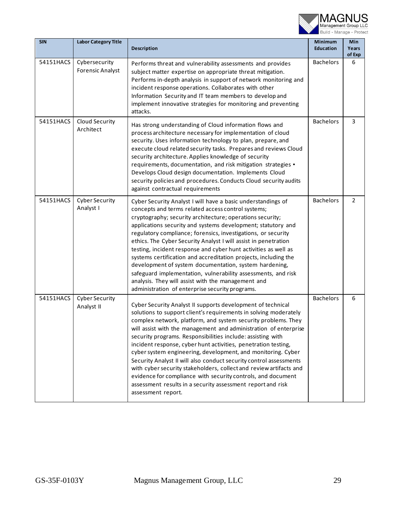

| <b>SIN</b> | <b>Labor Category Title</b>              | Description                                                                                                                                                                                                                                                                                                                                                                                                                                                                                                                                                                                                                                                                                                                                                            | <b>Minimum</b><br><b>Education</b> | Min<br>Years<br>of Exp |
|------------|------------------------------------------|------------------------------------------------------------------------------------------------------------------------------------------------------------------------------------------------------------------------------------------------------------------------------------------------------------------------------------------------------------------------------------------------------------------------------------------------------------------------------------------------------------------------------------------------------------------------------------------------------------------------------------------------------------------------------------------------------------------------------------------------------------------------|------------------------------------|------------------------|
| 54151HACS  | Cybersecurity<br><b>Forensic Analyst</b> | Performs threat and vulnerability assessments and provides<br>subject matter expertise on appropriate threat mitigation.<br>Performs in-depth analysis in support of network monitoring and<br>incident response operations. Collaborates with other<br>Information Security and IT team members to develop and<br>implement innovative strategies for monitoring and preventing<br>attacks.                                                                                                                                                                                                                                                                                                                                                                           | <b>Bachelors</b>                   | 6                      |
| 54151HACS  | Cloud Security<br>Architect              | Has strong understanding of Cloud information flows and<br>process architecture necessary for implementation of cloud<br>security. Uses information technology to plan, prepare, and<br>execute cloud related security tasks. Prepares and reviews Cloud<br>security architecture. Applies knowledge of security<br>requirements, documentation, and risk mitigation strategies .<br>Develops Cloud design documentation. Implements Cloud<br>security policies and procedures. Conducts Cloud security audits<br>against contractual requirements                                                                                                                                                                                                                     | <b>Bachelors</b>                   | 3                      |
| 54151HACS  | <b>Cyber Security</b><br>Analyst I       | Cyber Security Analyst I will have a basic understandings of<br>concepts and terms related access control systems;<br>cryptography; security architecture; operations security;<br>applications security and systems development; statutory and<br>regulatory compliance; forensics, investigations, or security<br>ethics. The Cyber Security Analyst I will assist in penetration<br>testing, incident response and cyber hunt activities as well as<br>systems certification and accreditation projects, including the<br>development of system documentation, system hardening,<br>safeguard implementation, vulnerability assessments, and risk<br>analysis. They will assist with the management and<br>administration of enterprise security programs.          | <b>Bachelors</b>                   | $\overline{2}$         |
| 54151HACS  | <b>Cyber Security</b><br>Analyst II      | Cyber Security Analyst II supports development of technical<br>solutions to support client's requirements in solving moderately<br>complex network, platform, and system security problems. They<br>will assist with the management and administration of enterprise<br>security programs. Responsibilities include: assisting with<br>incident response, cyber hunt activities, penetration testing,<br>cyber system engineering, development, and monitoring. Cyber<br>Security Analyst II will also conduct security control assessments<br>with cyber security stakeholders, collect and review artifacts and<br>evidence for compliance with security controls, and document<br>assessment results in a security assessment report and risk<br>assessment report. | <b>Bachelors</b>                   | 6                      |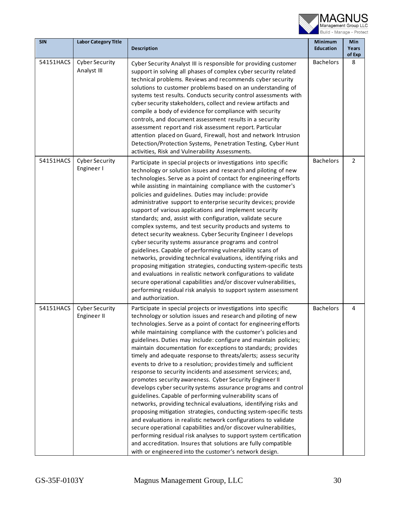

| <b>SIN</b> | <b>Labor Category Title</b>          | <b>Description</b>                                                                                                                                                                                                                                                                                                                                                                                                                                                                                                                                                                                                                                                                                                                                                                                                                                                                                                                                                                                                                                                                                                                                                                                                                                                                          | <b>Minimum</b><br><b>Education</b> | Min<br>Years<br>of Exp |
|------------|--------------------------------------|---------------------------------------------------------------------------------------------------------------------------------------------------------------------------------------------------------------------------------------------------------------------------------------------------------------------------------------------------------------------------------------------------------------------------------------------------------------------------------------------------------------------------------------------------------------------------------------------------------------------------------------------------------------------------------------------------------------------------------------------------------------------------------------------------------------------------------------------------------------------------------------------------------------------------------------------------------------------------------------------------------------------------------------------------------------------------------------------------------------------------------------------------------------------------------------------------------------------------------------------------------------------------------------------|------------------------------------|------------------------|
| 54151HACS  | <b>Cyber Security</b><br>Analyst III | Cyber Security Analyst III is responsible for providing customer<br>support in solving all phases of complex cyber security related<br>technical problems. Reviews and recommends cyber security<br>solutions to customer problems based on an understanding of<br>systems test results. Conducts security control assessments with<br>cyber security stakeholders, collect and review artifacts and<br>compile a body of evidence for compliance with security<br>controls, and document assessment results in a security<br>assessment report and risk assessment report. Particular<br>attention placed on Guard, Firewall, host and network Intrusion<br>Detection/Protection Systems, Penetration Testing, Cyber Hunt<br>activities, Risk and Vulnerability Assessments.                                                                                                                                                                                                                                                                                                                                                                                                                                                                                                               | <b>Bachelors</b>                   | 8                      |
| 54151HACS  | <b>Cyber Security</b><br>Engineer I  | Participate in special projects or investigations into specific<br>technology or solution issues and research and piloting of new<br>technologies. Serve as a point of contact for engineering efforts<br>while assisting in maintaining compliance with the customer's<br>policies and guidelines. Duties may include: provide<br>administrative support to enterprise security devices; provide<br>support of various applications and implement security<br>standards; and, assist with configuration, validate secure<br>complex systems, and test security products and systems to<br>detect security weakness. Cyber Security Engineer I develops<br>cyber security systems assurance programs and control<br>guidelines. Capable of performing vulnerability scans of<br>networks, providing technical evaluations, identifying risks and<br>proposing mitigation strategies, conducting system-specific tests<br>and evaluations in realistic network configurations to validate<br>secure operational capabilities and/or discover vulnerabilities,<br>performing residual risk analysis to support system assessment<br>and authorization.                                                                                                                                        | <b>Bachelors</b>                   | $\overline{2}$         |
| 54151HACS  | <b>Cyber Security</b><br>Engineer II | Participate in special projects or investigations into specific<br>technology or solution issues and research and piloting of new<br>technologies. Serve as a point of contact for engineering efforts<br>while maintaining compliance with the customer's policies and<br>guidelines. Duties may include: configure and maintain policies;<br>maintain documentation for exceptions to standards; provides<br>timely and adequate response to threats/alerts; assess security<br>events to drive to a resolution; provides timely and sufficient<br>response to security incidents and assessment services; and,<br>promotes security awareness. Cyber Security Engineer II<br>develops cyber security systems assurance programs and control<br>guidelines. Capable of performing vulnerability scans of<br>networks, providing technical evaluations, identifying risks and<br>proposing mitigation strategies, conducting system-specific tests<br>and evaluations in realistic network configurations to validate<br>secure operational capabilities and/or discover vulnerabilities,<br>performing residual risk analyses to support system certification<br>and accreditation. Insures that solutions are fully compatible<br>with or engineered into the customer's network design. | <b>Bachelors</b>                   | 4                      |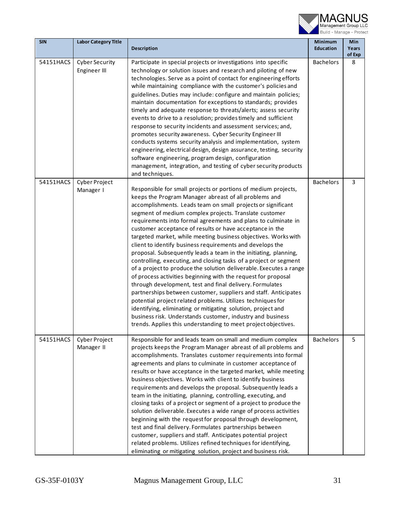

| <b>SIN</b> | <b>Labor Category Title</b>           |                                                                                                                                                                                                                                                                                                                                                                                                                                                                                                                                                                                                                                                                                                                                                                                                                                                                                                                                                                                                                                                                                                                                                                                             | Minimum          | Min             |
|------------|---------------------------------------|---------------------------------------------------------------------------------------------------------------------------------------------------------------------------------------------------------------------------------------------------------------------------------------------------------------------------------------------------------------------------------------------------------------------------------------------------------------------------------------------------------------------------------------------------------------------------------------------------------------------------------------------------------------------------------------------------------------------------------------------------------------------------------------------------------------------------------------------------------------------------------------------------------------------------------------------------------------------------------------------------------------------------------------------------------------------------------------------------------------------------------------------------------------------------------------------|------------------|-----------------|
|            |                                       | <b>Description</b>                                                                                                                                                                                                                                                                                                                                                                                                                                                                                                                                                                                                                                                                                                                                                                                                                                                                                                                                                                                                                                                                                                                                                                          | <b>Education</b> | Years<br>of Exp |
| 54151HACS  | <b>Cyber Security</b><br>Engineer III | Participate in special projects or investigations into specific<br>technology or solution issues and research and piloting of new<br>technologies. Serve as a point of contact for engineering efforts<br>while maintaining compliance with the customer's policies and<br>guidelines. Duties may include: configure and maintain policies;<br>maintain documentation for exceptions to standards; provides<br>timely and adequate response to threats/alerts; assess security<br>events to drive to a resolution; provides timely and sufficient<br>response to security incidents and assessment services; and,<br>promotes security awareness. Cyber Security Engineer III<br>conducts systems security analysis and implementation, system<br>engineering, electrical design, design assurance, testing, security<br>software engineering, program design, configuration<br>management, integration, and testing of cyber security products<br>and techniques.                                                                                                                                                                                                                          | <b>Bachelors</b> | 8               |
| 54151HACS  | Cyber Project<br>Manager I            | Responsible for small projects or portions of medium projects,<br>keeps the Program Manager abreast of all problems and<br>accomplishments. Leads team on small projects or significant<br>segment of medium complex projects. Translate customer<br>requirements into formal agreements and plans to culminate in<br>customer acceptance of results or have acceptance in the<br>targeted market, while meeting business objectives. Works with<br>client to identify business requirements and develops the<br>proposal. Subsequently leads a team in the initiating, planning,<br>controlling, executing, and closing tasks of a project or segment<br>of a project to produce the solution deliverable. Executes a range<br>of process activities beginning with the request for proposal<br>through development, test and final delivery. Formulates<br>partnerships between customer, suppliers and staff. Anticipates<br>potential project related problems. Utilizes techniques for<br>identifying, eliminating or mitigating solution, project and<br>business risk. Understands customer, industry and business<br>trends. Applies this understanding to meet project objectives. | <b>Bachelors</b> | 3               |
| 54151HACS  | Cyber Project<br>Manager II           | Responsible for and leads team on small and medium complex<br>projects keeps the Program Manager abreast of all problems and<br>accomplishments. Translates customer requirements into formal<br>agreements and plans to culminate in customer acceptance of<br>results or have acceptance in the targeted market, while meeting<br>business objectives. Works with client to identify business<br>requirements and develops the proposal. Subsequently leads a<br>team in the initiating, planning, controlling, executing, and<br>closing tasks of a project or segment of a project to produce the<br>solution deliverable. Executes a wide range of process activities<br>beginning with the request for proposal through development,<br>test and final delivery. Formulates partnerships between<br>customer, suppliers and staff. Anticipates potential project<br>related problems. Utilizes refined techniques for identifying,<br>eliminating or mitigating solution, project and business risk.                                                                                                                                                                                  | <b>Bachelors</b> | 5               |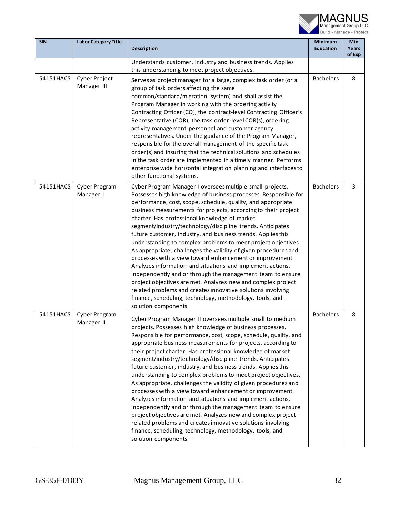

| <b>SIN</b> | <b>Labor Category Title</b>  | Description                                                                                                                                                                                                                                                                                                                                                                                                                                                                                                                                                                                                                                                                                                                                                                                                                                                                                                                                                                                             | <b>Minimum</b><br><b>Education</b> | Min<br>Years<br>of Exp |
|------------|------------------------------|---------------------------------------------------------------------------------------------------------------------------------------------------------------------------------------------------------------------------------------------------------------------------------------------------------------------------------------------------------------------------------------------------------------------------------------------------------------------------------------------------------------------------------------------------------------------------------------------------------------------------------------------------------------------------------------------------------------------------------------------------------------------------------------------------------------------------------------------------------------------------------------------------------------------------------------------------------------------------------------------------------|------------------------------------|------------------------|
|            |                              | Understands customer, industry and business trends. Applies<br>this understanding to meet project objectives.                                                                                                                                                                                                                                                                                                                                                                                                                                                                                                                                                                                                                                                                                                                                                                                                                                                                                           |                                    |                        |
| 54151HACS  | Cyber Project<br>Manager III | Serves as project manager for a large, complex task order (or a<br>group of task orders affecting the same<br>common/standard/migration system) and shall assist the<br>Program Manager in working with the ordering activity<br>Contracting Officer (CO), the contract-level Contracting Officer's<br>Representative (COR), the task order-level COR(s), ordering<br>activity management personnel and customer agency<br>representatives. Under the guidance of the Program Manager,<br>responsible for the overall management of the specific task<br>order(s) and insuring that the technical solutions and schedules<br>in the task order are implemented in a timely manner. Performs<br>enterprise wide horizontal integration planning and interfaces to<br>other functional systems.                                                                                                                                                                                                           | <b>Bachelors</b>                   | 8                      |
| 54151HACS  | Cyber Program<br>Manager I   | Cyber Program Manager I oversees multiple small projects.<br>Possesses high knowledge of business processes. Responsible for<br>performance, cost, scope, schedule, quality, and appropriate<br>business measurements for projects, according to their project<br>charter. Has professional knowledge of market<br>segment/industry/technology/discipline trends. Anticipates<br>future customer, industry, and business trends. Applies this<br>understanding to complex problems to meet project objectives.<br>As appropriate, challenges the validity of given procedures and<br>processes with a view toward enhancement or improvement.<br>Analyzes information and situations and implement actions,<br>independently and or through the management team to ensure<br>project objectives are met. Analyzes new and complex project<br>related problems and creates innovative solutions involving<br>finance, scheduling, technology, methodology, tools, and<br>solution components.            | <b>Bachelors</b>                   | 3                      |
| 54151HACS  | Cyber Program<br>Manager II  | Cyber Program Manager II oversees multiple small to medium<br>projects. Possesses high knowledge of business processes.<br>Responsible for performance, cost, scope, schedule, quality, and<br>appropriate business measurements for projects, according to<br>their project charter. Has professional knowledge of market<br>segment/industry/technology/discipline trends. Anticipates<br>future customer, industry, and business trends. Applies this<br>understanding to complex problems to meet project objectives.<br>As appropriate, challenges the validity of given procedures and<br>processes with a view toward enhancement or improvement.<br>Analyzes information and situations and implement actions,<br>independently and or through the management team to ensure<br>project objectives are met. Analyzes new and complex project<br>related problems and creates innovative solutions involving<br>finance, scheduling, technology, methodology, tools, and<br>solution components. | <b>Bachelors</b>                   | 8                      |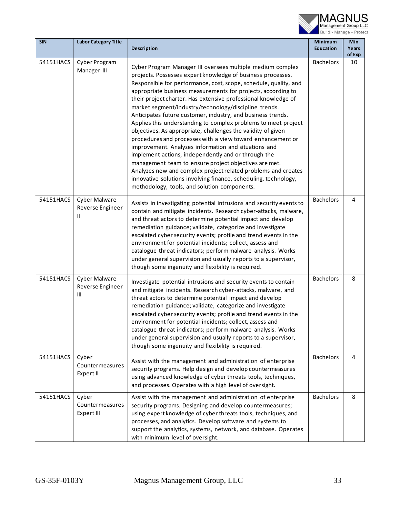

| <b>SIN</b> | <b>Labor Category Title</b>                    | <b>Description</b>                                                                                                                                                                                                                                                                                                                                                                                                                                                                                                                                                                                                                                                                                                                                                                                                                                                                                                                                                                                                  | Minimum<br><b>Education</b> | Min<br>Years<br>of Exp |
|------------|------------------------------------------------|---------------------------------------------------------------------------------------------------------------------------------------------------------------------------------------------------------------------------------------------------------------------------------------------------------------------------------------------------------------------------------------------------------------------------------------------------------------------------------------------------------------------------------------------------------------------------------------------------------------------------------------------------------------------------------------------------------------------------------------------------------------------------------------------------------------------------------------------------------------------------------------------------------------------------------------------------------------------------------------------------------------------|-----------------------------|------------------------|
| 54151HACS  | Cyber Program<br>Manager III                   | Cyber Program Manager III oversees multiple medium complex<br>projects. Possesses expert knowledge of business processes.<br>Responsible for performance, cost, scope, schedule, quality, and<br>appropriate business measurements for projects, according to<br>their project charter. Has extensive professional knowledge of<br>market segment/industry/technology/discipline trends.<br>Anticipates future customer, industry, and business trends.<br>Applies this understanding to complex problems to meet project<br>objectives. As appropriate, challenges the validity of given<br>procedures and processes with a view toward enhancement or<br>improvement. Analyzes information and situations and<br>implement actions, independently and or through the<br>management team to ensure project objectives are met.<br>Analyzes new and complex project related problems and creates<br>innovative solutions involving finance, scheduling, technology,<br>methodology, tools, and solution components. | <b>Bachelors</b>            | 10                     |
| 54151HACS  | <b>Cyber Malware</b><br>Reverse Engineer<br>Ш. | Assists in investigating potential intrusions and security events to<br>contain and mitigate incidents. Research cyber-attacks, malware,<br>and threat actors to determine potential impact and develop<br>remediation guidance; validate, categorize and investigate<br>escalated cyber security events; profile and trend events in the<br>environment for potential incidents; collect, assess and<br>catalogue threat indicators; perform malware analysis. Works<br>under general supervision and usually reports to a supervisor,<br>though some ingenuity and flexibility is required.                                                                                                                                                                                                                                                                                                                                                                                                                       | <b>Bachelors</b>            | 4                      |
| 54151HACS  | Cyber Malware<br>Reverse Engineer<br>Ш         | Investigate potential intrusions and security events to contain<br>and mitigate incidents. Research cyber-attacks, malware, and<br>threat actors to determine potential impact and develop<br>remediation guidance; validate, categorize and investigate<br>escalated cyber security events; profile and trend events in the<br>environment for potential incidents; collect, assess and<br>catalogue threat indicators; perform malware analysis. Works<br>under general supervision and usually reports to a supervisor,<br>though some ingenuity and flexibility is required.                                                                                                                                                                                                                                                                                                                                                                                                                                    | <b>Bachelors</b>            | 8                      |
| 54151HACS  | Cyber<br>Countermeasures<br>Expert II          | Assist with the management and administration of enterprise<br>security programs. Help design and develop countermeasures<br>using advanced knowledge of cyber threats tools, techniques,<br>and processes. Operates with a high level of oversight.                                                                                                                                                                                                                                                                                                                                                                                                                                                                                                                                                                                                                                                                                                                                                                | <b>Bachelors</b>            | 4                      |
| 54151HACS  | Cyber<br>Countermeasures<br>Expert III         | Assist with the management and administration of enterprise<br>security programs. Designing and develop countermeasures;<br>using expert knowledge of cyber threats tools, techniques, and<br>processes, and analytics. Develop software and systems to<br>support the analytics, systems, network, and database. Operates<br>with minimum level of oversight.                                                                                                                                                                                                                                                                                                                                                                                                                                                                                                                                                                                                                                                      | <b>Bachelors</b>            | 8                      |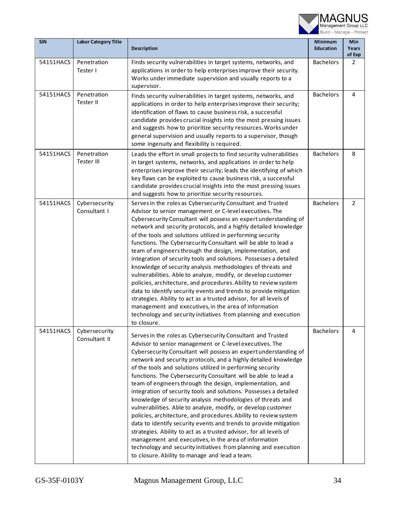

| <b>SIN</b> | <b>Labor Category Title</b>    | <b>Description</b>                                                                                                                                                                                                                                                                                                                                                                                                                                                                                                                                                                                                                                                                                                                                                                                                                                                                                                                                                                                                                                           | <b>Minimum</b><br><b>Education</b> | Min<br>Years<br>of Exp |
|------------|--------------------------------|--------------------------------------------------------------------------------------------------------------------------------------------------------------------------------------------------------------------------------------------------------------------------------------------------------------------------------------------------------------------------------------------------------------------------------------------------------------------------------------------------------------------------------------------------------------------------------------------------------------------------------------------------------------------------------------------------------------------------------------------------------------------------------------------------------------------------------------------------------------------------------------------------------------------------------------------------------------------------------------------------------------------------------------------------------------|------------------------------------|------------------------|
| 54151HACS  | Penetration<br>Tester I        | Finds security vulnerabilities in target systems, networks, and<br>applications in order to help enterprises improve their security.<br>Works under immediate supervision and usually reports to a<br>supervisor.                                                                                                                                                                                                                                                                                                                                                                                                                                                                                                                                                                                                                                                                                                                                                                                                                                            | <b>Bachelors</b>                   | $\overline{2}$         |
| 54151HACS  | Penetration<br>Tester II       | Finds security vulnerabilities in target systems, networks, and<br>applications in order to help enterprises improve their security;<br>identification of flaws to cause business risk, a successful<br>candidate provides crucial insights into the most pressing issues<br>and suggests how to prioritize security resources. Works under<br>general supervision and usually reports to a supervisor, though<br>some ingenuity and flexibility is required.                                                                                                                                                                                                                                                                                                                                                                                                                                                                                                                                                                                                | <b>Bachelors</b>                   | 4                      |
| 54151HACS  | Penetration<br>Tester III      | Leads the effort in small projects to find security vulnerabilities<br>in target systems, networks, and applications in order to help<br>enterprises improve their security; leads the identifying of which<br>key flaws can be exploited to cause business risk, a successful<br>candidate provides crucial insights into the most pressing issues<br>and suggests how to prioritize security resources.                                                                                                                                                                                                                                                                                                                                                                                                                                                                                                                                                                                                                                                    | <b>Bachelors</b>                   | 8                      |
| 54151HACS  | Cybersecurity<br>Consultant I  | Serves in the roles as Cybersecurity Consultant and Trusted<br>Advisor to senior management or C-level executives. The<br>Cybersecurity Consultant will possess an expert understanding of<br>network and security protocols, and a highly detailed knowledge<br>of the tools and solutions utilized in performing security<br>functions. The Cybersecurity Consultant will be able to lead a<br>team of engineers through the design, implementation, and<br>integration of security tools and solutions. Possesses a detailed<br>knowledge of security analysis methodologies of threats and<br>vulnerabilities. Able to analyze, modify, or develop customer<br>policies, architecture, and procedures. Ability to review system<br>data to identify security events and trends to provide mitigation<br>strategies. Ability to act as a trusted advisor, for all levels of<br>management and executives, in the area of information<br>technology and security initiatives from planning and execution<br>to closure.                                    | <b>Bachelors</b>                   | 2                      |
| 54151HACS  | Cybersecurity<br>Consultant II | Serves in the roles as Cybersecurity Consultant and Trusted<br>Advisor to senior management or C-level executives. The<br>Cybersecurity Consultant will possess an expert understanding of<br>network and security protocols, and a highly detailed knowledge<br>of the tools and solutions utilized in performing security<br>functions. The Cybersecurity Consultant will be able to lead a<br>team of engineers through the design, implementation, and<br>integration of security tools and solutions. Possesses a detailed<br>knowledge of security analysis methodologies of threats and<br>vulnerabilities. Able to analyze, modify, or develop customer<br>policies, architecture, and procedures. Ability to review system<br>data to identify security events and trends to provide mitigation<br>strategies. Ability to act as a trusted advisor, for all levels of<br>management and executives, in the area of information<br>technology and security initiatives from planning and execution<br>to closure. Ability to manage and lead a team. | <b>Bachelors</b>                   | 4                      |